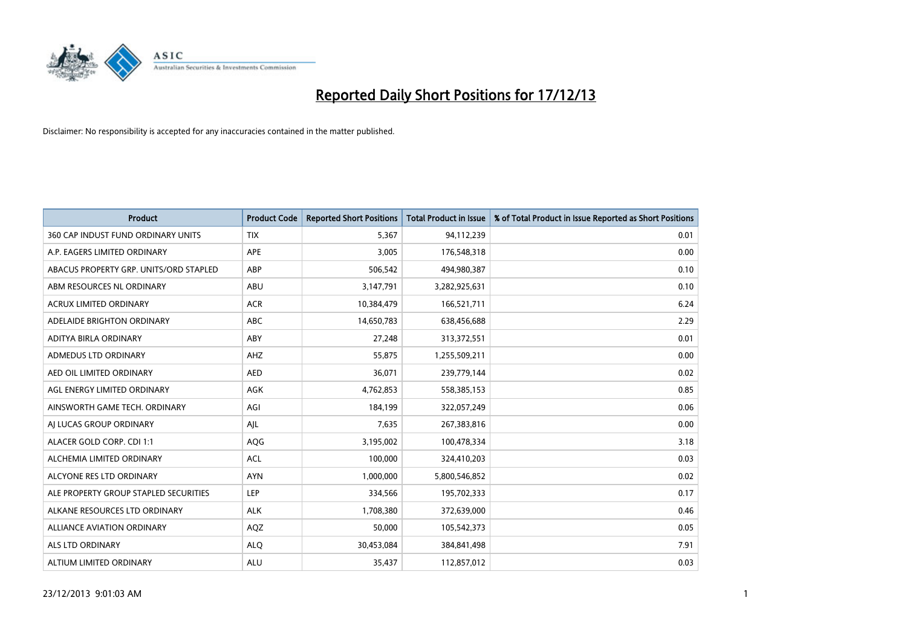

| <b>Product</b>                         | <b>Product Code</b> | <b>Reported Short Positions</b> | Total Product in Issue | % of Total Product in Issue Reported as Short Positions |
|----------------------------------------|---------------------|---------------------------------|------------------------|---------------------------------------------------------|
| 360 CAP INDUST FUND ORDINARY UNITS     | <b>TIX</b>          | 5,367                           | 94,112,239             | 0.01                                                    |
| A.P. EAGERS LIMITED ORDINARY           | <b>APE</b>          | 3,005                           | 176,548,318            | 0.00                                                    |
| ABACUS PROPERTY GRP. UNITS/ORD STAPLED | ABP                 | 506,542                         | 494,980,387            | 0.10                                                    |
| ABM RESOURCES NL ORDINARY              | ABU                 | 3,147,791                       | 3,282,925,631          | 0.10                                                    |
| <b>ACRUX LIMITED ORDINARY</b>          | <b>ACR</b>          | 10,384,479                      | 166,521,711            | 6.24                                                    |
| ADELAIDE BRIGHTON ORDINARY             | ABC                 | 14,650,783                      | 638,456,688            | 2.29                                                    |
| ADITYA BIRLA ORDINARY                  | ABY                 | 27,248                          | 313,372,551            | 0.01                                                    |
| ADMEDUS LTD ORDINARY                   | AHZ                 | 55,875                          | 1,255,509,211          | 0.00                                                    |
| AED OIL LIMITED ORDINARY               | <b>AED</b>          | 36,071                          | 239,779,144            | 0.02                                                    |
| AGL ENERGY LIMITED ORDINARY            | <b>AGK</b>          | 4,762,853                       | 558,385,153            | 0.85                                                    |
| AINSWORTH GAME TECH. ORDINARY          | AGI                 | 184,199                         | 322,057,249            | 0.06                                                    |
| AI LUCAS GROUP ORDINARY                | AJL                 | 7,635                           | 267,383,816            | 0.00                                                    |
| ALACER GOLD CORP. CDI 1:1              | AQG                 | 3,195,002                       | 100,478,334            | 3.18                                                    |
| ALCHEMIA LIMITED ORDINARY              | <b>ACL</b>          | 100,000                         | 324,410,203            | 0.03                                                    |
| ALCYONE RES LTD ORDINARY               | <b>AYN</b>          | 1,000,000                       | 5,800,546,852          | 0.02                                                    |
| ALE PROPERTY GROUP STAPLED SECURITIES  | <b>LEP</b>          | 334,566                         | 195,702,333            | 0.17                                                    |
| ALKANE RESOURCES LTD ORDINARY          | <b>ALK</b>          | 1,708,380                       | 372,639,000            | 0.46                                                    |
| <b>ALLIANCE AVIATION ORDINARY</b>      | AQZ                 | 50,000                          | 105,542,373            | 0.05                                                    |
| ALS LTD ORDINARY                       | <b>ALQ</b>          | 30,453,084                      | 384,841,498            | 7.91                                                    |
| ALTIUM LIMITED ORDINARY                | ALU                 | 35,437                          | 112,857,012            | 0.03                                                    |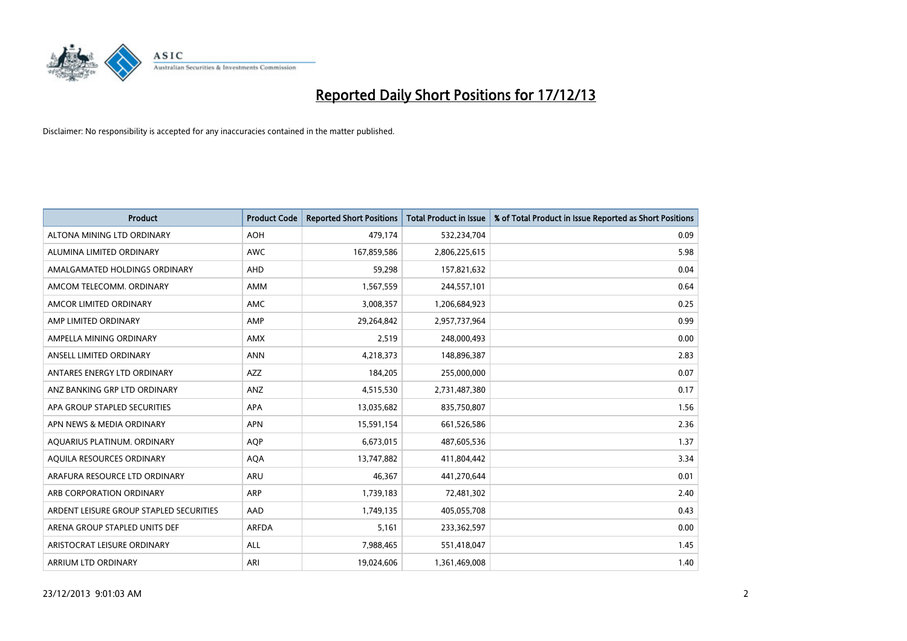

| <b>Product</b>                          | <b>Product Code</b> | <b>Reported Short Positions</b> | <b>Total Product in Issue</b> | % of Total Product in Issue Reported as Short Positions |
|-----------------------------------------|---------------------|---------------------------------|-------------------------------|---------------------------------------------------------|
| ALTONA MINING LTD ORDINARY              | <b>AOH</b>          | 479,174                         | 532,234,704                   | 0.09                                                    |
| ALUMINA LIMITED ORDINARY                | <b>AWC</b>          | 167,859,586                     | 2,806,225,615                 | 5.98                                                    |
| AMALGAMATED HOLDINGS ORDINARY           | AHD                 | 59,298                          | 157,821,632                   | 0.04                                                    |
| AMCOM TELECOMM, ORDINARY                | AMM                 | 1,567,559                       | 244,557,101                   | 0.64                                                    |
| AMCOR LIMITED ORDINARY                  | <b>AMC</b>          | 3,008,357                       | 1,206,684,923                 | 0.25                                                    |
| AMP LIMITED ORDINARY                    | AMP                 | 29,264,842                      | 2,957,737,964                 | 0.99                                                    |
| AMPELLA MINING ORDINARY                 | AMX                 | 2,519                           | 248,000,493                   | 0.00                                                    |
| ANSELL LIMITED ORDINARY                 | <b>ANN</b>          | 4,218,373                       | 148,896,387                   | 2.83                                                    |
| ANTARES ENERGY LTD ORDINARY             | <b>AZZ</b>          | 184,205                         | 255,000,000                   | 0.07                                                    |
| ANZ BANKING GRP LTD ORDINARY            | ANZ                 | 4,515,530                       | 2,731,487,380                 | 0.17                                                    |
| APA GROUP STAPLED SECURITIES            | APA                 | 13,035,682                      | 835,750,807                   | 1.56                                                    |
| APN NEWS & MEDIA ORDINARY               | <b>APN</b>          | 15,591,154                      | 661,526,586                   | 2.36                                                    |
| AQUARIUS PLATINUM. ORDINARY             | <b>AOP</b>          | 6,673,015                       | 487,605,536                   | 1.37                                                    |
| AQUILA RESOURCES ORDINARY               | <b>AQA</b>          | 13,747,882                      | 411,804,442                   | 3.34                                                    |
| ARAFURA RESOURCE LTD ORDINARY           | <b>ARU</b>          | 46,367                          | 441,270,644                   | 0.01                                                    |
| ARB CORPORATION ORDINARY                | ARP                 | 1,739,183                       | 72,481,302                    | 2.40                                                    |
| ARDENT LEISURE GROUP STAPLED SECURITIES | AAD                 | 1,749,135                       | 405,055,708                   | 0.43                                                    |
| ARENA GROUP STAPLED UNITS DEF           | <b>ARFDA</b>        | 5,161                           | 233,362,597                   | 0.00                                                    |
| ARISTOCRAT LEISURE ORDINARY             | <b>ALL</b>          | 7,988,465                       | 551,418,047                   | 1.45                                                    |
| ARRIUM LTD ORDINARY                     | ARI                 | 19,024,606                      | 1,361,469,008                 | 1.40                                                    |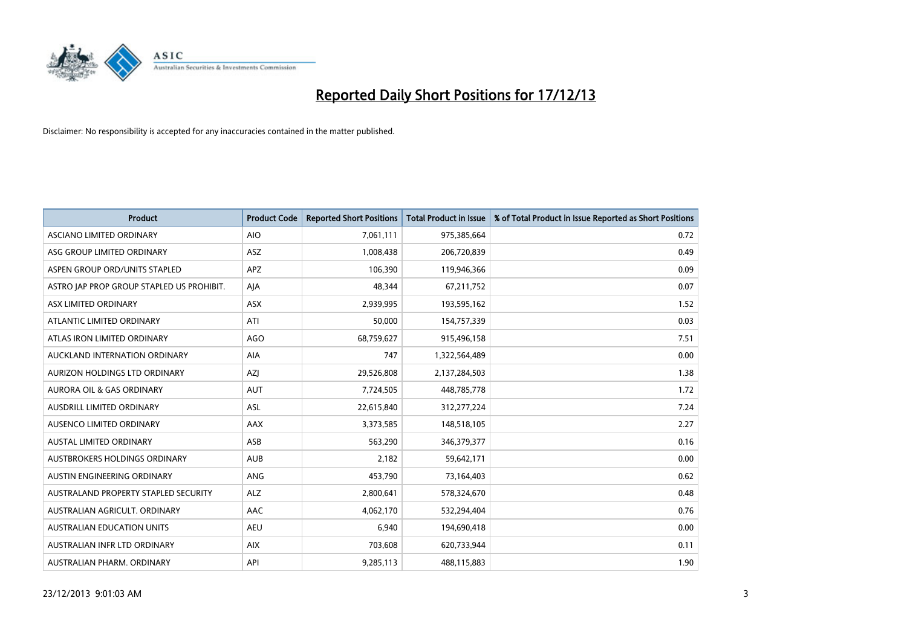

| <b>Product</b>                            | <b>Product Code</b> | <b>Reported Short Positions</b> | <b>Total Product in Issue</b> | % of Total Product in Issue Reported as Short Positions |
|-------------------------------------------|---------------------|---------------------------------|-------------------------------|---------------------------------------------------------|
| ASCIANO LIMITED ORDINARY                  | <b>AIO</b>          | 7,061,111                       | 975,385,664                   | 0.72                                                    |
| ASG GROUP LIMITED ORDINARY                | <b>ASZ</b>          | 1,008,438                       | 206,720,839                   | 0.49                                                    |
| ASPEN GROUP ORD/UNITS STAPLED             | APZ                 | 106,390                         | 119,946,366                   | 0.09                                                    |
| ASTRO JAP PROP GROUP STAPLED US PROHIBIT. | AJA                 | 48,344                          | 67,211,752                    | 0.07                                                    |
| ASX LIMITED ORDINARY                      | <b>ASX</b>          | 2,939,995                       | 193,595,162                   | 1.52                                                    |
| ATLANTIC LIMITED ORDINARY                 | ATI                 | 50,000                          | 154,757,339                   | 0.03                                                    |
| ATLAS IRON LIMITED ORDINARY               | <b>AGO</b>          | 68,759,627                      | 915,496,158                   | 7.51                                                    |
| AUCKLAND INTERNATION ORDINARY             | <b>AIA</b>          | 747                             | 1,322,564,489                 | 0.00                                                    |
| AURIZON HOLDINGS LTD ORDINARY             | AZJ                 | 29,526,808                      | 2,137,284,503                 | 1.38                                                    |
| <b>AURORA OIL &amp; GAS ORDINARY</b>      | <b>AUT</b>          | 7,724,505                       | 448,785,778                   | 1.72                                                    |
| AUSDRILL LIMITED ORDINARY                 | ASL                 | 22,615,840                      | 312,277,224                   | 7.24                                                    |
| AUSENCO LIMITED ORDINARY                  | AAX                 | 3,373,585                       | 148,518,105                   | 2.27                                                    |
| <b>AUSTAL LIMITED ORDINARY</b>            | ASB                 | 563,290                         | 346,379,377                   | 0.16                                                    |
| AUSTBROKERS HOLDINGS ORDINARY             | <b>AUB</b>          | 2,182                           | 59,642,171                    | 0.00                                                    |
| AUSTIN ENGINEERING ORDINARY               | ANG                 | 453,790                         | 73,164,403                    | 0.62                                                    |
| AUSTRALAND PROPERTY STAPLED SECURITY      | <b>ALZ</b>          | 2,800,641                       | 578,324,670                   | 0.48                                                    |
| AUSTRALIAN AGRICULT, ORDINARY             | AAC                 | 4,062,170                       | 532,294,404                   | 0.76                                                    |
| AUSTRALIAN EDUCATION UNITS                | <b>AEU</b>          | 6,940                           | 194,690,418                   | 0.00                                                    |
| AUSTRALIAN INFR LTD ORDINARY              | <b>AIX</b>          | 703,608                         | 620,733,944                   | 0.11                                                    |
| AUSTRALIAN PHARM, ORDINARY                | API                 | 9,285,113                       | 488,115,883                   | 1.90                                                    |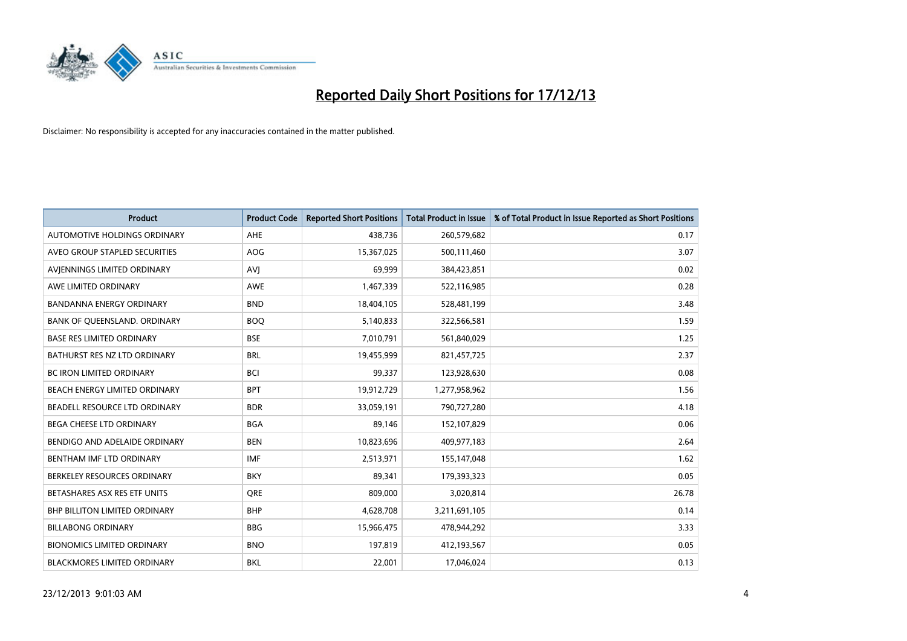

| <b>Product</b>                    | <b>Product Code</b> | <b>Reported Short Positions</b> | <b>Total Product in Issue</b> | % of Total Product in Issue Reported as Short Positions |
|-----------------------------------|---------------------|---------------------------------|-------------------------------|---------------------------------------------------------|
| AUTOMOTIVE HOLDINGS ORDINARY      | AHE                 | 438,736                         | 260,579,682                   | 0.17                                                    |
| AVEO GROUP STAPLED SECURITIES     | AOG                 | 15,367,025                      | 500,111,460                   | 3.07                                                    |
| AVIENNINGS LIMITED ORDINARY       | <b>AVI</b>          | 69,999                          | 384,423,851                   | 0.02                                                    |
| AWE LIMITED ORDINARY              | AWE                 | 1,467,339                       | 522,116,985                   | 0.28                                                    |
| <b>BANDANNA ENERGY ORDINARY</b>   | <b>BND</b>          | 18,404,105                      | 528,481,199                   | 3.48                                                    |
| BANK OF QUEENSLAND. ORDINARY      | <b>BOO</b>          | 5,140,833                       | 322,566,581                   | 1.59                                                    |
| <b>BASE RES LIMITED ORDINARY</b>  | <b>BSE</b>          | 7,010,791                       | 561,840,029                   | 1.25                                                    |
| BATHURST RES NZ LTD ORDINARY      | <b>BRL</b>          | 19,455,999                      | 821,457,725                   | 2.37                                                    |
| BC IRON LIMITED ORDINARY          | <b>BCI</b>          | 99,337                          | 123,928,630                   | 0.08                                                    |
| BEACH ENERGY LIMITED ORDINARY     | <b>BPT</b>          | 19,912,729                      | 1,277,958,962                 | 1.56                                                    |
| BEADELL RESOURCE LTD ORDINARY     | <b>BDR</b>          | 33,059,191                      | 790,727,280                   | 4.18                                                    |
| BEGA CHEESE LTD ORDINARY          | <b>BGA</b>          | 89,146                          | 152,107,829                   | 0.06                                                    |
| BENDIGO AND ADELAIDE ORDINARY     | <b>BEN</b>          | 10,823,696                      | 409,977,183                   | 2.64                                                    |
| BENTHAM IMF LTD ORDINARY          | <b>IMF</b>          | 2,513,971                       | 155,147,048                   | 1.62                                                    |
| BERKELEY RESOURCES ORDINARY       | <b>BKY</b>          | 89,341                          | 179,393,323                   | 0.05                                                    |
| BETASHARES ASX RES ETF UNITS      | <b>ORE</b>          | 809,000                         | 3,020,814                     | 26.78                                                   |
| BHP BILLITON LIMITED ORDINARY     | <b>BHP</b>          | 4,628,708                       | 3,211,691,105                 | 0.14                                                    |
| <b>BILLABONG ORDINARY</b>         | <b>BBG</b>          | 15,966,475                      | 478,944,292                   | 3.33                                                    |
| <b>BIONOMICS LIMITED ORDINARY</b> | <b>BNO</b>          | 197,819                         | 412,193,567                   | 0.05                                                    |
| BLACKMORES LIMITED ORDINARY       | <b>BKL</b>          | 22,001                          | 17,046,024                    | 0.13                                                    |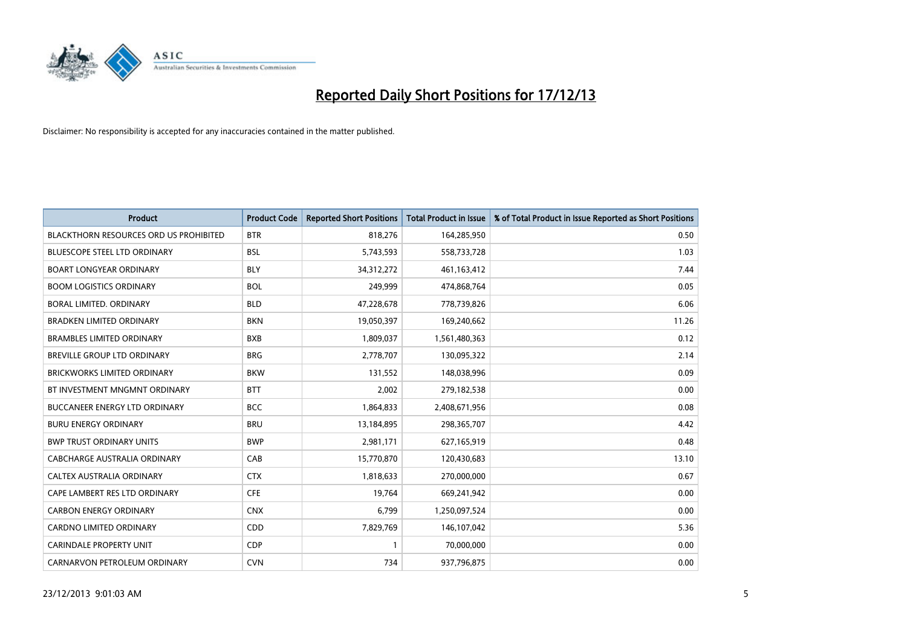

| <b>Product</b>                                | <b>Product Code</b> | <b>Reported Short Positions</b> | <b>Total Product in Issue</b> | % of Total Product in Issue Reported as Short Positions |
|-----------------------------------------------|---------------------|---------------------------------|-------------------------------|---------------------------------------------------------|
| <b>BLACKTHORN RESOURCES ORD US PROHIBITED</b> | <b>BTR</b>          | 818,276                         | 164,285,950                   | 0.50                                                    |
| <b>BLUESCOPE STEEL LTD ORDINARY</b>           | <b>BSL</b>          | 5,743,593                       | 558,733,728                   | 1.03                                                    |
| <b>BOART LONGYEAR ORDINARY</b>                | <b>BLY</b>          | 34,312,272                      | 461,163,412                   | 7.44                                                    |
| <b>BOOM LOGISTICS ORDINARY</b>                | <b>BOL</b>          | 249,999                         | 474,868,764                   | 0.05                                                    |
| <b>BORAL LIMITED, ORDINARY</b>                | <b>BLD</b>          | 47,228,678                      | 778,739,826                   | 6.06                                                    |
| <b>BRADKEN LIMITED ORDINARY</b>               | <b>BKN</b>          | 19,050,397                      | 169,240,662                   | 11.26                                                   |
| <b>BRAMBLES LIMITED ORDINARY</b>              | <b>BXB</b>          | 1,809,037                       | 1,561,480,363                 | 0.12                                                    |
| BREVILLE GROUP LTD ORDINARY                   | <b>BRG</b>          | 2,778,707                       | 130,095,322                   | 2.14                                                    |
| <b>BRICKWORKS LIMITED ORDINARY</b>            | <b>BKW</b>          | 131,552                         | 148,038,996                   | 0.09                                                    |
| BT INVESTMENT MNGMNT ORDINARY                 | <b>BTT</b>          | 2,002                           | 279,182,538                   | 0.00                                                    |
| BUCCANEER ENERGY LTD ORDINARY                 | <b>BCC</b>          | 1,864,833                       | 2,408,671,956                 | 0.08                                                    |
| <b>BURU ENERGY ORDINARY</b>                   | <b>BRU</b>          | 13,184,895                      | 298,365,707                   | 4.42                                                    |
| <b>BWP TRUST ORDINARY UNITS</b>               | <b>BWP</b>          | 2,981,171                       | 627,165,919                   | 0.48                                                    |
| <b>CABCHARGE AUSTRALIA ORDINARY</b>           | CAB                 | 15,770,870                      | 120,430,683                   | 13.10                                                   |
| CALTEX AUSTRALIA ORDINARY                     | <b>CTX</b>          | 1,818,633                       | 270,000,000                   | 0.67                                                    |
| CAPE LAMBERT RES LTD ORDINARY                 | <b>CFE</b>          | 19,764                          | 669,241,942                   | 0.00                                                    |
| <b>CARBON ENERGY ORDINARY</b>                 | <b>CNX</b>          | 6,799                           | 1,250,097,524                 | 0.00                                                    |
| <b>CARDNO LIMITED ORDINARY</b>                | CDD                 | 7,829,769                       | 146, 107, 042                 | 5.36                                                    |
| <b>CARINDALE PROPERTY UNIT</b>                | <b>CDP</b>          | $\mathbf{1}$                    | 70,000,000                    | 0.00                                                    |
| CARNARVON PETROLEUM ORDINARY                  | <b>CVN</b>          | 734                             | 937,796,875                   | 0.00                                                    |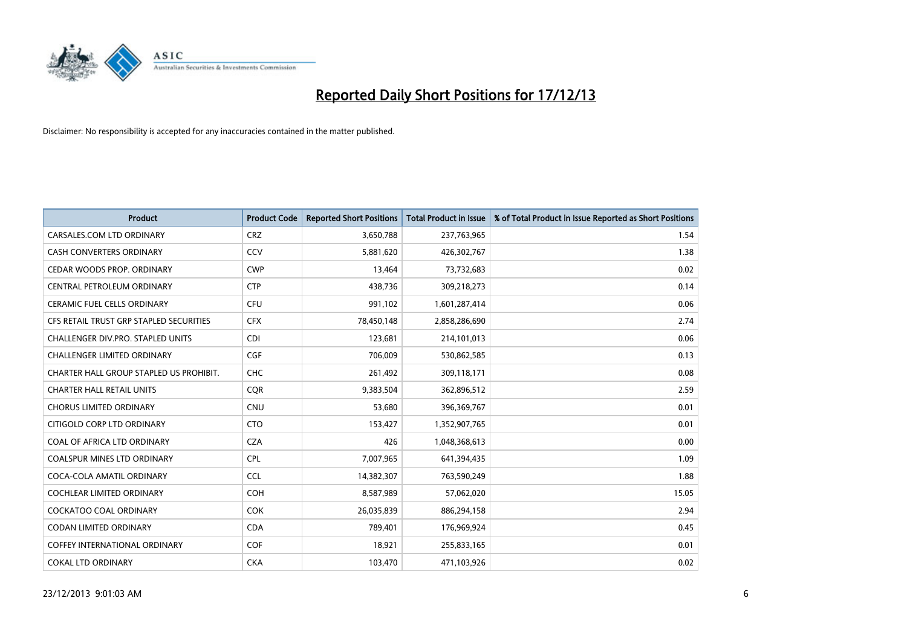

| Product                                 | <b>Product Code</b> | <b>Reported Short Positions</b> | <b>Total Product in Issue</b> | % of Total Product in Issue Reported as Short Positions |
|-----------------------------------------|---------------------|---------------------------------|-------------------------------|---------------------------------------------------------|
| CARSALES.COM LTD ORDINARY               | <b>CRZ</b>          | 3,650,788                       | 237,763,965                   | 1.54                                                    |
| CASH CONVERTERS ORDINARY                | CCV                 | 5,881,620                       | 426,302,767                   | 1.38                                                    |
| CEDAR WOODS PROP. ORDINARY              | <b>CWP</b>          | 13,464                          | 73,732,683                    | 0.02                                                    |
| CENTRAL PETROLEUM ORDINARY              | <b>CTP</b>          | 438,736                         | 309,218,273                   | 0.14                                                    |
| <b>CERAMIC FUEL CELLS ORDINARY</b>      | <b>CFU</b>          | 991,102                         | 1,601,287,414                 | 0.06                                                    |
| CFS RETAIL TRUST GRP STAPLED SECURITIES | <b>CFX</b>          | 78,450,148                      | 2,858,286,690                 | 2.74                                                    |
| CHALLENGER DIV.PRO. STAPLED UNITS       | <b>CDI</b>          | 123,681                         | 214,101,013                   | 0.06                                                    |
| <b>CHALLENGER LIMITED ORDINARY</b>      | <b>CGF</b>          | 706,009                         | 530,862,585                   | 0.13                                                    |
| CHARTER HALL GROUP STAPLED US PROHIBIT. | <b>CHC</b>          | 261,492                         | 309,118,171                   | 0.08                                                    |
| <b>CHARTER HALL RETAIL UNITS</b>        | <b>CQR</b>          | 9,383,504                       | 362,896,512                   | 2.59                                                    |
| CHORUS LIMITED ORDINARY                 | <b>CNU</b>          | 53,680                          | 396,369,767                   | 0.01                                                    |
| CITIGOLD CORP LTD ORDINARY              | <b>CTO</b>          | 153,427                         | 1,352,907,765                 | 0.01                                                    |
| COAL OF AFRICA LTD ORDINARY             | <b>CZA</b>          | 426                             | 1,048,368,613                 | 0.00                                                    |
| <b>COALSPUR MINES LTD ORDINARY</b>      | <b>CPL</b>          | 7,007,965                       | 641,394,435                   | 1.09                                                    |
| COCA-COLA AMATIL ORDINARY               | <b>CCL</b>          | 14,382,307                      | 763,590,249                   | 1.88                                                    |
| <b>COCHLEAR LIMITED ORDINARY</b>        | <b>COH</b>          | 8,587,989                       | 57,062,020                    | 15.05                                                   |
| COCKATOO COAL ORDINARY                  | <b>COK</b>          | 26,035,839                      | 886,294,158                   | 2.94                                                    |
| <b>CODAN LIMITED ORDINARY</b>           | <b>CDA</b>          | 789,401                         | 176,969,924                   | 0.45                                                    |
| <b>COFFEY INTERNATIONAL ORDINARY</b>    | <b>COF</b>          | 18,921                          | 255,833,165                   | 0.01                                                    |
| <b>COKAL LTD ORDINARY</b>               | <b>CKA</b>          | 103,470                         | 471,103,926                   | 0.02                                                    |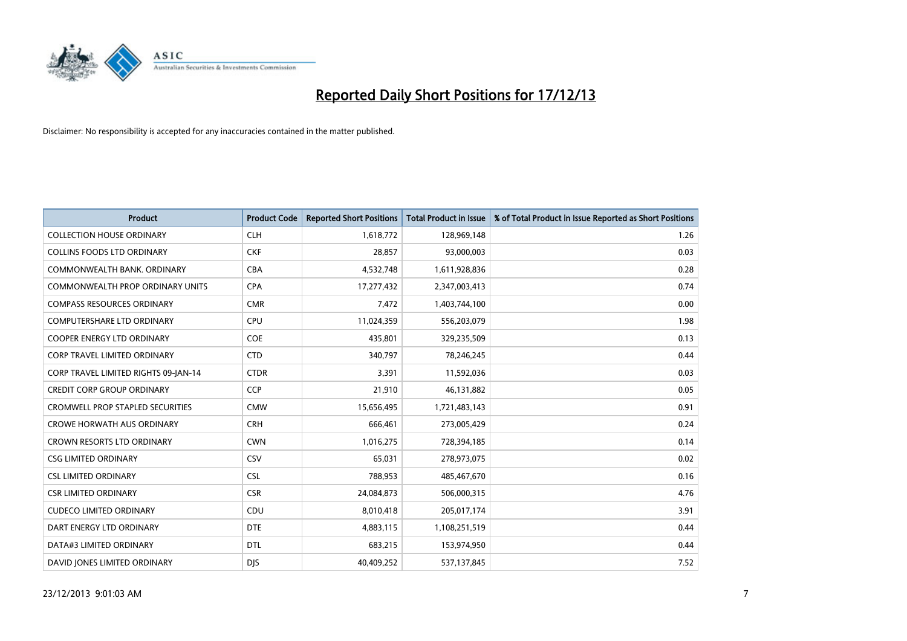

| <b>Product</b>                          | <b>Product Code</b> | <b>Reported Short Positions</b> | <b>Total Product in Issue</b> | % of Total Product in Issue Reported as Short Positions |
|-----------------------------------------|---------------------|---------------------------------|-------------------------------|---------------------------------------------------------|
| <b>COLLECTION HOUSE ORDINARY</b>        | <b>CLH</b>          | 1,618,772                       | 128,969,148                   | 1.26                                                    |
| <b>COLLINS FOODS LTD ORDINARY</b>       | <b>CKF</b>          | 28,857                          | 93,000,003                    | 0.03                                                    |
| COMMONWEALTH BANK, ORDINARY             | <b>CBA</b>          | 4,532,748                       | 1,611,928,836                 | 0.28                                                    |
| COMMONWEALTH PROP ORDINARY UNITS        | <b>CPA</b>          | 17,277,432                      | 2,347,003,413                 | 0.74                                                    |
| <b>COMPASS RESOURCES ORDINARY</b>       | <b>CMR</b>          | 7,472                           | 1,403,744,100                 | 0.00                                                    |
| <b>COMPUTERSHARE LTD ORDINARY</b>       | <b>CPU</b>          | 11,024,359                      | 556,203,079                   | 1.98                                                    |
| <b>COOPER ENERGY LTD ORDINARY</b>       | <b>COE</b>          | 435,801                         | 329,235,509                   | 0.13                                                    |
| <b>CORP TRAVEL LIMITED ORDINARY</b>     | <b>CTD</b>          | 340,797                         | 78,246,245                    | 0.44                                                    |
| CORP TRAVEL LIMITED RIGHTS 09-JAN-14    | <b>CTDR</b>         | 3,391                           | 11,592,036                    | 0.03                                                    |
| <b>CREDIT CORP GROUP ORDINARY</b>       | <b>CCP</b>          | 21,910                          | 46,131,882                    | 0.05                                                    |
| <b>CROMWELL PROP STAPLED SECURITIES</b> | <b>CMW</b>          | 15,656,495                      | 1,721,483,143                 | 0.91                                                    |
| <b>CROWE HORWATH AUS ORDINARY</b>       | <b>CRH</b>          | 666,461                         | 273,005,429                   | 0.24                                                    |
| <b>CROWN RESORTS LTD ORDINARY</b>       | <b>CWN</b>          | 1,016,275                       | 728,394,185                   | 0.14                                                    |
| <b>CSG LIMITED ORDINARY</b>             | CSV                 | 65,031                          | 278,973,075                   | 0.02                                                    |
| <b>CSL LIMITED ORDINARY</b>             | <b>CSL</b>          | 788,953                         | 485,467,670                   | 0.16                                                    |
| <b>CSR LIMITED ORDINARY</b>             | <b>CSR</b>          | 24,084,873                      | 506,000,315                   | 4.76                                                    |
| <b>CUDECO LIMITED ORDINARY</b>          | CDU                 | 8,010,418                       | 205,017,174                   | 3.91                                                    |
| DART ENERGY LTD ORDINARY                | <b>DTE</b>          | 4,883,115                       | 1,108,251,519                 | 0.44                                                    |
| DATA#3 LIMITED ORDINARY                 | <b>DTL</b>          | 683,215                         | 153,974,950                   | 0.44                                                    |
| DAVID JONES LIMITED ORDINARY            | <b>DJS</b>          | 40,409,252                      | 537,137,845                   | 7.52                                                    |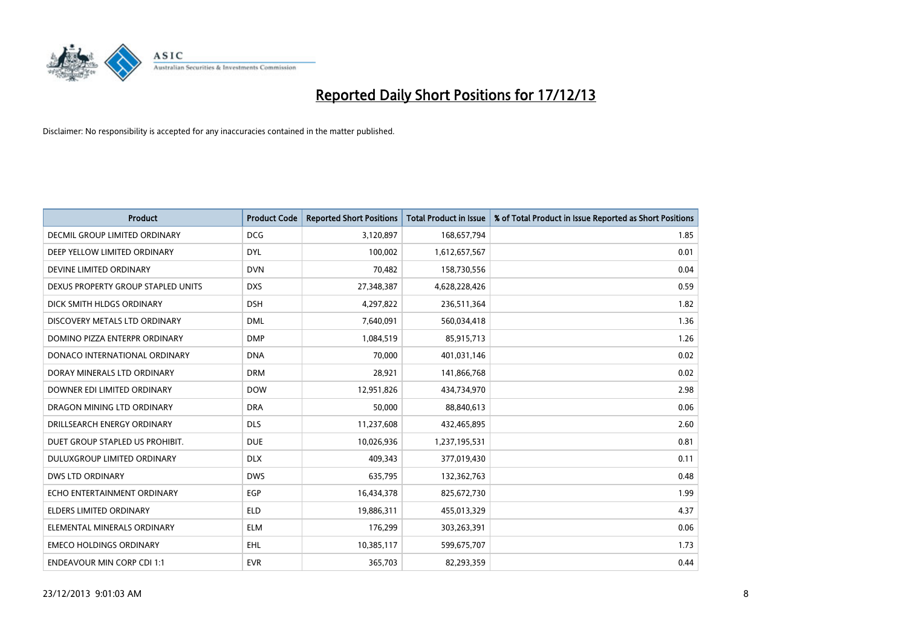

| <b>Product</b>                       | <b>Product Code</b> | <b>Reported Short Positions</b> | <b>Total Product in Issue</b> | % of Total Product in Issue Reported as Short Positions |
|--------------------------------------|---------------------|---------------------------------|-------------------------------|---------------------------------------------------------|
| <b>DECMIL GROUP LIMITED ORDINARY</b> | <b>DCG</b>          | 3,120,897                       | 168,657,794                   | 1.85                                                    |
| DEEP YELLOW LIMITED ORDINARY         | DYL                 | 100,002                         | 1,612,657,567                 | 0.01                                                    |
| DEVINE LIMITED ORDINARY              | <b>DVN</b>          | 70,482                          | 158,730,556                   | 0.04                                                    |
| DEXUS PROPERTY GROUP STAPLED UNITS   | <b>DXS</b>          | 27,348,387                      | 4,628,228,426                 | 0.59                                                    |
| DICK SMITH HLDGS ORDINARY            | <b>DSH</b>          | 4,297,822                       | 236,511,364                   | 1.82                                                    |
| DISCOVERY METALS LTD ORDINARY        | <b>DML</b>          | 7,640,091                       | 560,034,418                   | 1.36                                                    |
| DOMINO PIZZA ENTERPR ORDINARY        | <b>DMP</b>          | 1,084,519                       | 85,915,713                    | 1.26                                                    |
| DONACO INTERNATIONAL ORDINARY        | <b>DNA</b>          | 70,000                          | 401,031,146                   | 0.02                                                    |
| DORAY MINERALS LTD ORDINARY          | <b>DRM</b>          | 28,921                          | 141,866,768                   | 0.02                                                    |
| DOWNER EDI LIMITED ORDINARY          | <b>DOW</b>          | 12,951,826                      | 434,734,970                   | 2.98                                                    |
| DRAGON MINING LTD ORDINARY           | <b>DRA</b>          | 50,000                          | 88,840,613                    | 0.06                                                    |
| DRILLSEARCH ENERGY ORDINARY          | <b>DLS</b>          | 11,237,608                      | 432,465,895                   | 2.60                                                    |
| DUET GROUP STAPLED US PROHIBIT.      | <b>DUE</b>          | 10,026,936                      | 1,237,195,531                 | 0.81                                                    |
| DULUXGROUP LIMITED ORDINARY          | <b>DLX</b>          | 409,343                         | 377,019,430                   | 0.11                                                    |
| <b>DWS LTD ORDINARY</b>              | <b>DWS</b>          | 635,795                         | 132,362,763                   | 0.48                                                    |
| ECHO ENTERTAINMENT ORDINARY          | EGP                 | 16,434,378                      | 825,672,730                   | 1.99                                                    |
| <b>ELDERS LIMITED ORDINARY</b>       | <b>ELD</b>          | 19,886,311                      | 455,013,329                   | 4.37                                                    |
| ELEMENTAL MINERALS ORDINARY          | ELM                 | 176,299                         | 303,263,391                   | 0.06                                                    |
| <b>EMECO HOLDINGS ORDINARY</b>       | <b>EHL</b>          | 10,385,117                      | 599,675,707                   | 1.73                                                    |
| <b>ENDEAVOUR MIN CORP CDI 1:1</b>    | <b>EVR</b>          | 365,703                         | 82,293,359                    | 0.44                                                    |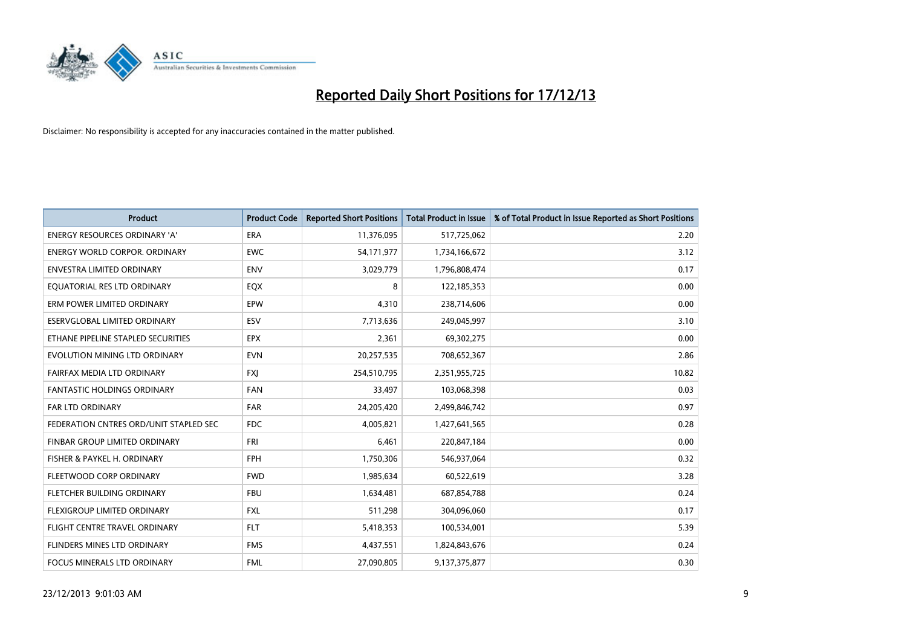

| <b>Product</b>                         | <b>Product Code</b> | <b>Reported Short Positions</b> | <b>Total Product in Issue</b> | % of Total Product in Issue Reported as Short Positions |
|----------------------------------------|---------------------|---------------------------------|-------------------------------|---------------------------------------------------------|
| <b>ENERGY RESOURCES ORDINARY 'A'</b>   | <b>ERA</b>          | 11,376,095                      | 517,725,062                   | 2.20                                                    |
| ENERGY WORLD CORPOR. ORDINARY          | <b>EWC</b>          | 54,171,977                      | 1,734,166,672                 | 3.12                                                    |
| <b>ENVESTRA LIMITED ORDINARY</b>       | <b>ENV</b>          | 3,029,779                       | 1,796,808,474                 | 0.17                                                    |
| EQUATORIAL RES LTD ORDINARY            | EQX                 | 8                               | 122,185,353                   | 0.00                                                    |
| ERM POWER LIMITED ORDINARY             | EPW                 | 4,310                           | 238,714,606                   | 0.00                                                    |
| ESERVGLOBAL LIMITED ORDINARY           | ESV                 | 7,713,636                       | 249,045,997                   | 3.10                                                    |
| ETHANE PIPELINE STAPLED SECURITIES     | <b>EPX</b>          | 2,361                           | 69,302,275                    | 0.00                                                    |
| EVOLUTION MINING LTD ORDINARY          | <b>EVN</b>          | 20,257,535                      | 708,652,367                   | 2.86                                                    |
| FAIRFAX MEDIA LTD ORDINARY             | <b>FXI</b>          | 254,510,795                     | 2,351,955,725                 | 10.82                                                   |
| <b>FANTASTIC HOLDINGS ORDINARY</b>     | <b>FAN</b>          | 33,497                          | 103,068,398                   | 0.03                                                    |
| FAR LTD ORDINARY                       | <b>FAR</b>          | 24,205,420                      | 2,499,846,742                 | 0.97                                                    |
| FEDERATION CNTRES ORD/UNIT STAPLED SEC | <b>FDC</b>          | 4,005,821                       | 1,427,641,565                 | 0.28                                                    |
| FINBAR GROUP LIMITED ORDINARY          | <b>FRI</b>          | 6,461                           | 220,847,184                   | 0.00                                                    |
| FISHER & PAYKEL H. ORDINARY            | FPH                 | 1,750,306                       | 546,937,064                   | 0.32                                                    |
| FLEETWOOD CORP ORDINARY                | <b>FWD</b>          | 1,985,634                       | 60,522,619                    | 3.28                                                    |
| FLETCHER BUILDING ORDINARY             | <b>FBU</b>          | 1,634,481                       | 687,854,788                   | 0.24                                                    |
| FLEXIGROUP LIMITED ORDINARY            | <b>FXL</b>          | 511,298                         | 304,096,060                   | 0.17                                                    |
| FLIGHT CENTRE TRAVEL ORDINARY          | <b>FLT</b>          | 5,418,353                       | 100,534,001                   | 5.39                                                    |
| FLINDERS MINES LTD ORDINARY            | <b>FMS</b>          | 4,437,551                       | 1,824,843,676                 | 0.24                                                    |
| FOCUS MINERALS LTD ORDINARY            | <b>FML</b>          | 27,090,805                      | 9,137,375,877                 | 0.30                                                    |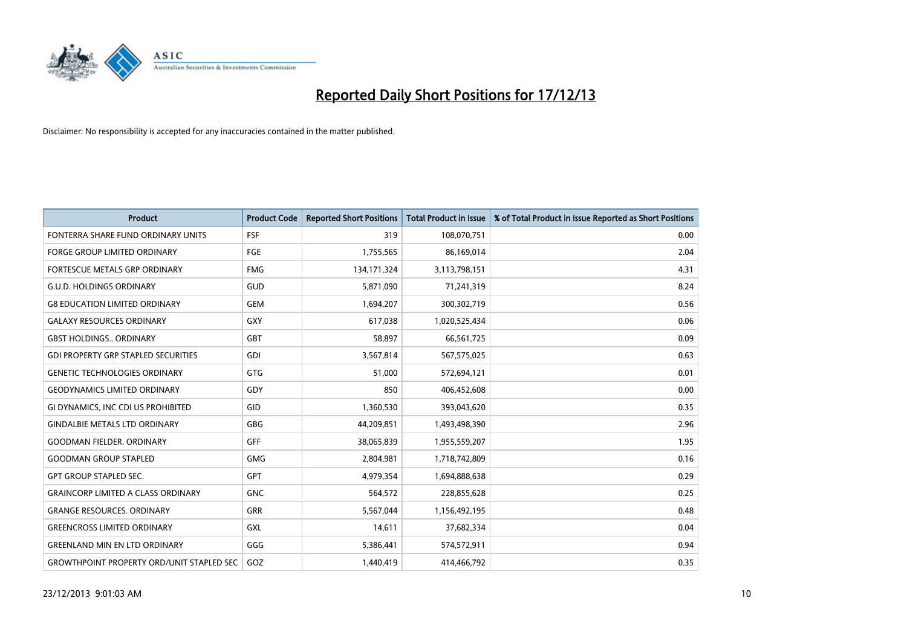

| <b>Product</b>                                   | <b>Product Code</b> | <b>Reported Short Positions</b> | <b>Total Product in Issue</b> | % of Total Product in Issue Reported as Short Positions |
|--------------------------------------------------|---------------------|---------------------------------|-------------------------------|---------------------------------------------------------|
| FONTERRA SHARE FUND ORDINARY UNITS               | FSF                 | 319                             | 108,070,751                   | 0.00                                                    |
| <b>FORGE GROUP LIMITED ORDINARY</b>              | <b>FGE</b>          | 1,755,565                       | 86,169,014                    | 2.04                                                    |
| <b>FORTESCUE METALS GRP ORDINARY</b>             | <b>FMG</b>          | 134, 171, 324                   | 3,113,798,151                 | 4.31                                                    |
| <b>G.U.D. HOLDINGS ORDINARY</b>                  | GUD                 | 5,871,090                       | 71,241,319                    | 8.24                                                    |
| <b>G8 EDUCATION LIMITED ORDINARY</b>             | <b>GEM</b>          | 1,694,207                       | 300,302,719                   | 0.56                                                    |
| <b>GALAXY RESOURCES ORDINARY</b>                 | <b>GXY</b>          | 617,038                         | 1,020,525,434                 | 0.06                                                    |
| <b>GBST HOLDINGS ORDINARY</b>                    | <b>GBT</b>          | 58,897                          | 66,561,725                    | 0.09                                                    |
| <b>GDI PROPERTY GRP STAPLED SECURITIES</b>       | <b>GDI</b>          | 3,567,814                       | 567,575,025                   | 0.63                                                    |
| <b>GENETIC TECHNOLOGIES ORDINARY</b>             | <b>GTG</b>          | 51,000                          | 572,694,121                   | 0.01                                                    |
| <b>GEODYNAMICS LIMITED ORDINARY</b>              | GDY                 | 850                             | 406,452,608                   | 0.00                                                    |
| GI DYNAMICS, INC CDI US PROHIBITED               | <b>GID</b>          | 1,360,530                       | 393,043,620                   | 0.35                                                    |
| <b>GINDALBIE METALS LTD ORDINARY</b>             | <b>GBG</b>          | 44,209,851                      | 1,493,498,390                 | 2.96                                                    |
| <b>GOODMAN FIELDER, ORDINARY</b>                 | <b>GFF</b>          | 38,065,839                      | 1,955,559,207                 | 1.95                                                    |
| <b>GOODMAN GROUP STAPLED</b>                     | <b>GMG</b>          | 2,804,981                       | 1,718,742,809                 | 0.16                                                    |
| <b>GPT GROUP STAPLED SEC.</b>                    | <b>GPT</b>          | 4,979,354                       | 1,694,888,638                 | 0.29                                                    |
| <b>GRAINCORP LIMITED A CLASS ORDINARY</b>        | <b>GNC</b>          | 564,572                         | 228,855,628                   | 0.25                                                    |
| <b>GRANGE RESOURCES. ORDINARY</b>                | GRR                 | 5,567,044                       | 1,156,492,195                 | 0.48                                                    |
| <b>GREENCROSS LIMITED ORDINARY</b>               | <b>GXL</b>          | 14,611                          | 37,682,334                    | 0.04                                                    |
| <b>GREENLAND MIN EN LTD ORDINARY</b>             | GGG                 | 5,386,441                       | 574,572,911                   | 0.94                                                    |
| <b>GROWTHPOINT PROPERTY ORD/UNIT STAPLED SEC</b> | GOZ                 | 1,440,419                       | 414,466,792                   | 0.35                                                    |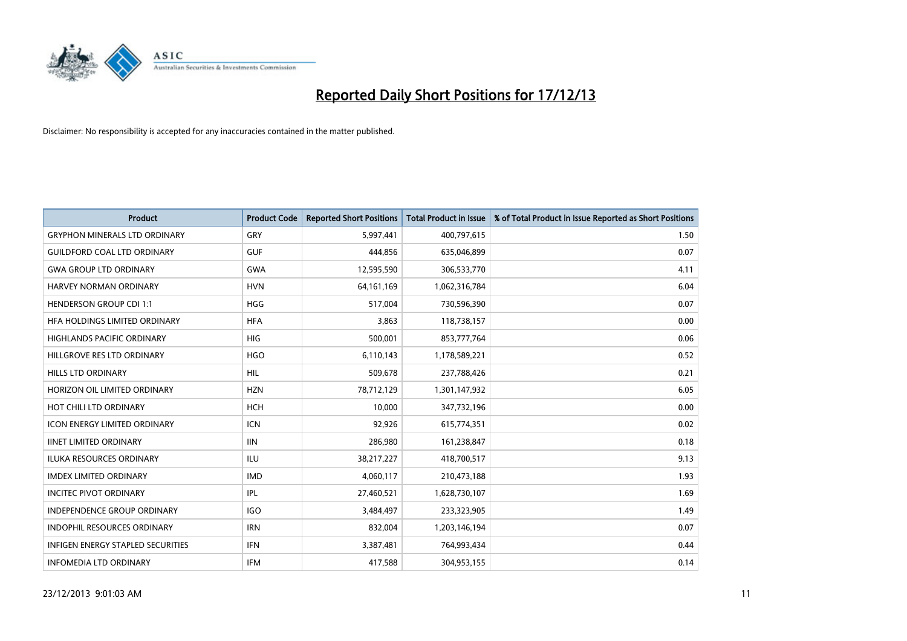

| <b>Product</b>                           | <b>Product Code</b> | <b>Reported Short Positions</b> | <b>Total Product in Issue</b> | % of Total Product in Issue Reported as Short Positions |
|------------------------------------------|---------------------|---------------------------------|-------------------------------|---------------------------------------------------------|
| <b>GRYPHON MINERALS LTD ORDINARY</b>     | GRY                 | 5,997,441                       | 400,797,615                   | 1.50                                                    |
| <b>GUILDFORD COAL LTD ORDINARY</b>       | <b>GUF</b>          | 444,856                         | 635,046,899                   | 0.07                                                    |
| <b>GWA GROUP LTD ORDINARY</b>            | <b>GWA</b>          | 12,595,590                      | 306,533,770                   | 4.11                                                    |
| HARVEY NORMAN ORDINARY                   | <b>HVN</b>          | 64, 161, 169                    | 1,062,316,784                 | 6.04                                                    |
| <b>HENDERSON GROUP CDI 1:1</b>           | <b>HGG</b>          | 517,004                         | 730,596,390                   | 0.07                                                    |
| HFA HOLDINGS LIMITED ORDINARY            | <b>HFA</b>          | 3,863                           | 118,738,157                   | 0.00                                                    |
| <b>HIGHLANDS PACIFIC ORDINARY</b>        | <b>HIG</b>          | 500,001                         | 853,777,764                   | 0.06                                                    |
| HILLGROVE RES LTD ORDINARY               | <b>HGO</b>          | 6,110,143                       | 1,178,589,221                 | 0.52                                                    |
| <b>HILLS LTD ORDINARY</b>                | <b>HIL</b>          | 509,678                         | 237,788,426                   | 0.21                                                    |
| HORIZON OIL LIMITED ORDINARY             | <b>HZN</b>          | 78,712,129                      | 1,301,147,932                 | 6.05                                                    |
| HOT CHILI LTD ORDINARY                   | <b>HCH</b>          | 10,000                          | 347,732,196                   | 0.00                                                    |
| <b>ICON ENERGY LIMITED ORDINARY</b>      | <b>ICN</b>          | 92,926                          | 615,774,351                   | 0.02                                                    |
| <b>IINET LIMITED ORDINARY</b>            | <b>IIN</b>          | 286,980                         | 161,238,847                   | 0.18                                                    |
| <b>ILUKA RESOURCES ORDINARY</b>          | ILU                 | 38,217,227                      | 418,700,517                   | 9.13                                                    |
| <b>IMDEX LIMITED ORDINARY</b>            | <b>IMD</b>          | 4,060,117                       | 210,473,188                   | 1.93                                                    |
| <b>INCITEC PIVOT ORDINARY</b>            | IPL                 | 27,460,521                      | 1,628,730,107                 | 1.69                                                    |
| INDEPENDENCE GROUP ORDINARY              | <b>IGO</b>          | 3,484,497                       | 233,323,905                   | 1.49                                                    |
| INDOPHIL RESOURCES ORDINARY              | <b>IRN</b>          | 832,004                         | 1,203,146,194                 | 0.07                                                    |
| <b>INFIGEN ENERGY STAPLED SECURITIES</b> | <b>IFN</b>          | 3,387,481                       | 764,993,434                   | 0.44                                                    |
| <b>INFOMEDIA LTD ORDINARY</b>            | <b>IFM</b>          | 417,588                         | 304,953,155                   | 0.14                                                    |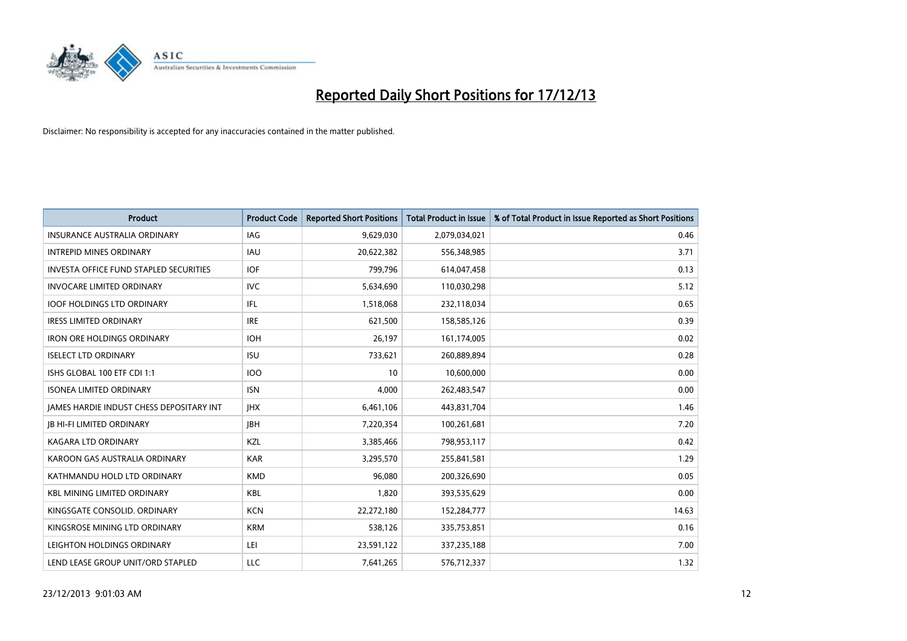

| Product                                       | <b>Product Code</b> | <b>Reported Short Positions</b> | <b>Total Product in Issue</b> | % of Total Product in Issue Reported as Short Positions |
|-----------------------------------------------|---------------------|---------------------------------|-------------------------------|---------------------------------------------------------|
| <b>INSURANCE AUSTRALIA ORDINARY</b>           | IAG                 | 9,629,030                       | 2,079,034,021                 | 0.46                                                    |
| <b>INTREPID MINES ORDINARY</b>                | IAU                 | 20,622,382                      | 556,348,985                   | 3.71                                                    |
| <b>INVESTA OFFICE FUND STAPLED SECURITIES</b> | <b>IOF</b>          | 799,796                         | 614,047,458                   | 0.13                                                    |
| <b>INVOCARE LIMITED ORDINARY</b>              | <b>IVC</b>          | 5,634,690                       | 110,030,298                   | 5.12                                                    |
| <b>IOOF HOLDINGS LTD ORDINARY</b>             | IFL                 | 1,518,068                       | 232,118,034                   | 0.65                                                    |
| <b>IRESS LIMITED ORDINARY</b>                 | <b>IRE</b>          | 621,500                         | 158,585,126                   | 0.39                                                    |
| <b>IRON ORE HOLDINGS ORDINARY</b>             | <b>IOH</b>          | 26,197                          | 161,174,005                   | 0.02                                                    |
| <b>ISELECT LTD ORDINARY</b>                   | <b>ISU</b>          | 733,621                         | 260,889,894                   | 0.28                                                    |
| ISHS GLOBAL 100 ETF CDI 1:1                   | <b>IOO</b>          | 10                              | 10,600,000                    | 0.00                                                    |
| <b>ISONEA LIMITED ORDINARY</b>                | <b>ISN</b>          | 4,000                           | 262,483,547                   | 0.00                                                    |
| JAMES HARDIE INDUST CHESS DEPOSITARY INT      | <b>IHX</b>          | 6,461,106                       | 443,831,704                   | 1.46                                                    |
| <b>IB HI-FI LIMITED ORDINARY</b>              | <b>JBH</b>          | 7,220,354                       | 100,261,681                   | 7.20                                                    |
| <b>KAGARA LTD ORDINARY</b>                    | KZL                 | 3,385,466                       | 798,953,117                   | 0.42                                                    |
| KAROON GAS AUSTRALIA ORDINARY                 | <b>KAR</b>          | 3,295,570                       | 255,841,581                   | 1.29                                                    |
| KATHMANDU HOLD LTD ORDINARY                   | <b>KMD</b>          | 96,080                          | 200,326,690                   | 0.05                                                    |
| <b>KBL MINING LIMITED ORDINARY</b>            | <b>KBL</b>          | 1,820                           | 393,535,629                   | 0.00                                                    |
| KINGSGATE CONSOLID. ORDINARY                  | <b>KCN</b>          | 22,272,180                      | 152,284,777                   | 14.63                                                   |
| KINGSROSE MINING LTD ORDINARY                 | <b>KRM</b>          | 538,126                         | 335,753,851                   | 0.16                                                    |
| LEIGHTON HOLDINGS ORDINARY                    | LEI                 | 23,591,122                      | 337,235,188                   | 7.00                                                    |
| LEND LEASE GROUP UNIT/ORD STAPLED             | LLC                 | 7,641,265                       | 576,712,337                   | 1.32                                                    |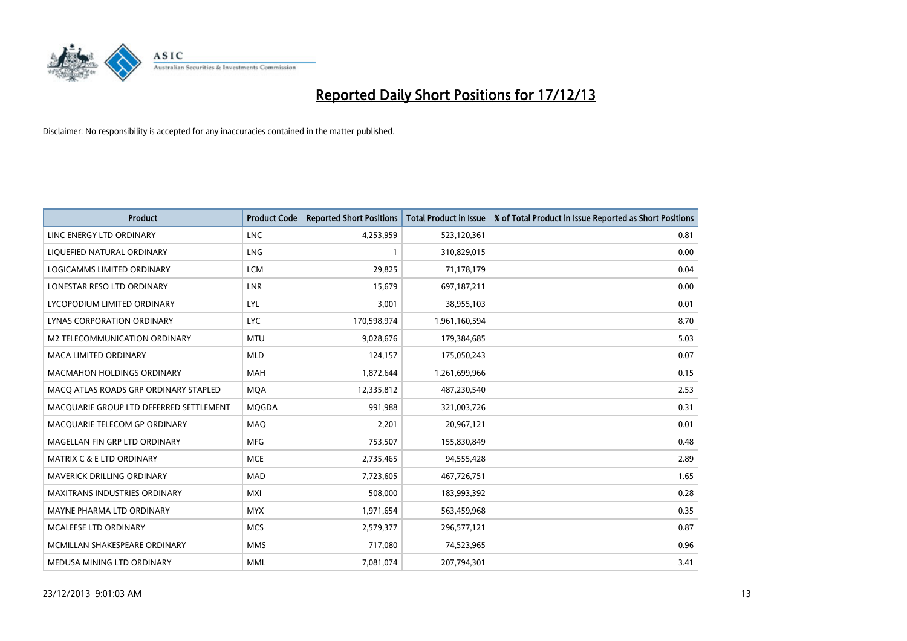

| <b>Product</b>                          | <b>Product Code</b> | <b>Reported Short Positions</b> | <b>Total Product in Issue</b> | % of Total Product in Issue Reported as Short Positions |
|-----------------------------------------|---------------------|---------------------------------|-------------------------------|---------------------------------------------------------|
| LINC ENERGY LTD ORDINARY                | <b>LNC</b>          | 4,253,959                       | 523,120,361                   | 0.81                                                    |
| LIQUEFIED NATURAL ORDINARY              | <b>LNG</b>          | 1                               | 310,829,015                   | 0.00                                                    |
| <b>LOGICAMMS LIMITED ORDINARY</b>       | <b>LCM</b>          | 29,825                          | 71,178,179                    | 0.04                                                    |
| LONESTAR RESO LTD ORDINARY              | <b>LNR</b>          | 15,679                          | 697,187,211                   | 0.00                                                    |
| LYCOPODIUM LIMITED ORDINARY             | LYL                 | 3,001                           | 38,955,103                    | 0.01                                                    |
| LYNAS CORPORATION ORDINARY              | <b>LYC</b>          | 170,598,974                     | 1,961,160,594                 | 8.70                                                    |
| M2 TELECOMMUNICATION ORDINARY           | <b>MTU</b>          | 9,028,676                       | 179,384,685                   | 5.03                                                    |
| MACA LIMITED ORDINARY                   | <b>MLD</b>          | 124,157                         | 175,050,243                   | 0.07                                                    |
| <b>MACMAHON HOLDINGS ORDINARY</b>       | <b>MAH</b>          | 1,872,644                       | 1,261,699,966                 | 0.15                                                    |
| MACO ATLAS ROADS GRP ORDINARY STAPLED   | <b>MOA</b>          | 12,335,812                      | 487,230,540                   | 2.53                                                    |
| MACQUARIE GROUP LTD DEFERRED SETTLEMENT | <b>MQGDA</b>        | 991,988                         | 321,003,726                   | 0.31                                                    |
| MACQUARIE TELECOM GP ORDINARY           | MAQ                 | 2,201                           | 20,967,121                    | 0.01                                                    |
| MAGELLAN FIN GRP LTD ORDINARY           | <b>MFG</b>          | 753,507                         | 155,830,849                   | 0.48                                                    |
| MATRIX C & E LTD ORDINARY               | <b>MCE</b>          | 2,735,465                       | 94,555,428                    | 2.89                                                    |
| <b>MAVERICK DRILLING ORDINARY</b>       | <b>MAD</b>          | 7,723,605                       | 467,726,751                   | 1.65                                                    |
| MAXITRANS INDUSTRIES ORDINARY           | <b>MXI</b>          | 508,000                         | 183,993,392                   | 0.28                                                    |
| MAYNE PHARMA LTD ORDINARY               | <b>MYX</b>          | 1,971,654                       | 563,459,968                   | 0.35                                                    |
| <b>MCALEESE LTD ORDINARY</b>            | <b>MCS</b>          | 2,579,377                       | 296,577,121                   | 0.87                                                    |
| MCMILLAN SHAKESPEARE ORDINARY           | <b>MMS</b>          | 717,080                         | 74,523,965                    | 0.96                                                    |
| MEDUSA MINING LTD ORDINARY              | <b>MML</b>          | 7,081,074                       | 207,794,301                   | 3.41                                                    |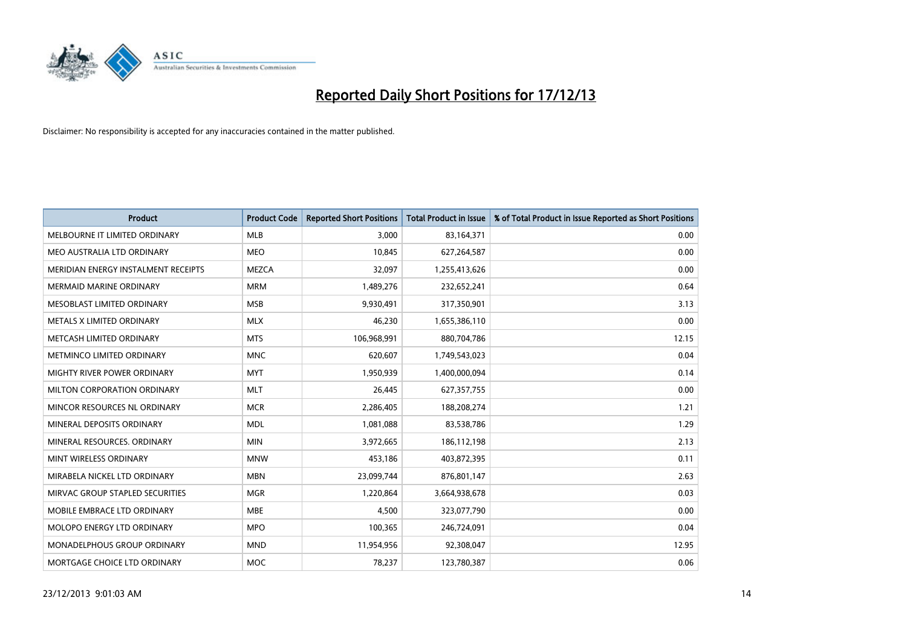

| <b>Product</b>                      | <b>Product Code</b> | <b>Reported Short Positions</b> | <b>Total Product in Issue</b> | % of Total Product in Issue Reported as Short Positions |
|-------------------------------------|---------------------|---------------------------------|-------------------------------|---------------------------------------------------------|
| MELBOURNE IT LIMITED ORDINARY       | <b>MLB</b>          | 3,000                           | 83,164,371                    | 0.00                                                    |
| MEO AUSTRALIA LTD ORDINARY          | <b>MEO</b>          | 10,845                          | 627,264,587                   | 0.00                                                    |
| MERIDIAN ENERGY INSTALMENT RECEIPTS | <b>MEZCA</b>        | 32,097                          | 1,255,413,626                 | 0.00                                                    |
| <b>MERMAID MARINE ORDINARY</b>      | <b>MRM</b>          | 1,489,276                       | 232,652,241                   | 0.64                                                    |
| MESOBLAST LIMITED ORDINARY          | <b>MSB</b>          | 9,930,491                       | 317,350,901                   | 3.13                                                    |
| METALS X LIMITED ORDINARY           | <b>MLX</b>          | 46,230                          | 1,655,386,110                 | 0.00                                                    |
| METCASH LIMITED ORDINARY            | <b>MTS</b>          | 106,968,991                     | 880,704,786                   | 12.15                                                   |
| METMINCO LIMITED ORDINARY           | <b>MNC</b>          | 620,607                         | 1,749,543,023                 | 0.04                                                    |
| MIGHTY RIVER POWER ORDINARY         | <b>MYT</b>          | 1,950,939                       | 1,400,000,094                 | 0.14                                                    |
| MILTON CORPORATION ORDINARY         | <b>MLT</b>          | 26,445                          | 627,357,755                   | 0.00                                                    |
| MINCOR RESOURCES NL ORDINARY        | <b>MCR</b>          | 2,286,405                       | 188,208,274                   | 1.21                                                    |
| MINERAL DEPOSITS ORDINARY           | <b>MDL</b>          | 1,081,088                       | 83,538,786                    | 1.29                                                    |
| MINERAL RESOURCES. ORDINARY         | <b>MIN</b>          | 3,972,665                       | 186,112,198                   | 2.13                                                    |
| MINT WIRELESS ORDINARY              | <b>MNW</b>          | 453,186                         | 403,872,395                   | 0.11                                                    |
| MIRABELA NICKEL LTD ORDINARY        | <b>MBN</b>          | 23,099,744                      | 876,801,147                   | 2.63                                                    |
| MIRVAC GROUP STAPLED SECURITIES     | <b>MGR</b>          | 1,220,864                       | 3,664,938,678                 | 0.03                                                    |
| MOBILE EMBRACE LTD ORDINARY         | <b>MBE</b>          | 4,500                           | 323,077,790                   | 0.00                                                    |
| MOLOPO ENERGY LTD ORDINARY          | <b>MPO</b>          | 100,365                         | 246,724,091                   | 0.04                                                    |
| MONADELPHOUS GROUP ORDINARY         | <b>MND</b>          | 11,954,956                      | 92,308,047                    | 12.95                                                   |
| MORTGAGE CHOICE LTD ORDINARY        | <b>MOC</b>          | 78,237                          | 123,780,387                   | 0.06                                                    |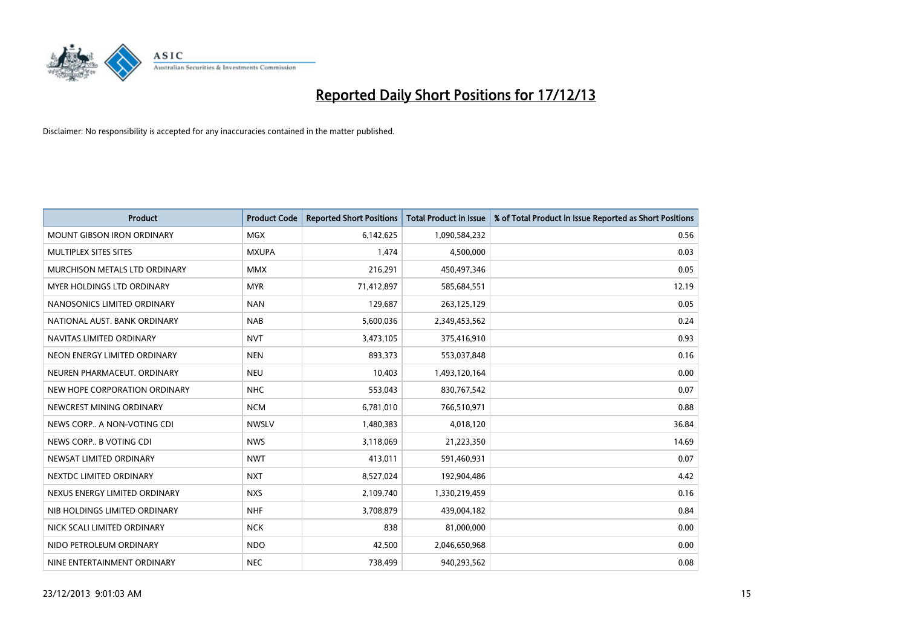

| <b>Product</b>                    | <b>Product Code</b> | <b>Reported Short Positions</b> | <b>Total Product in Issue</b> | % of Total Product in Issue Reported as Short Positions |
|-----------------------------------|---------------------|---------------------------------|-------------------------------|---------------------------------------------------------|
| <b>MOUNT GIBSON IRON ORDINARY</b> | <b>MGX</b>          | 6,142,625                       | 1,090,584,232                 | 0.56                                                    |
| MULTIPLEX SITES SITES             | <b>MXUPA</b>        | 1,474                           | 4,500,000                     | 0.03                                                    |
| MURCHISON METALS LTD ORDINARY     | <b>MMX</b>          | 216,291                         | 450,497,346                   | 0.05                                                    |
| MYER HOLDINGS LTD ORDINARY        | <b>MYR</b>          | 71,412,897                      | 585,684,551                   | 12.19                                                   |
| NANOSONICS LIMITED ORDINARY       | <b>NAN</b>          | 129,687                         | 263,125,129                   | 0.05                                                    |
| NATIONAL AUST. BANK ORDINARY      | <b>NAB</b>          | 5,600,036                       | 2,349,453,562                 | 0.24                                                    |
| NAVITAS LIMITED ORDINARY          | <b>NVT</b>          | 3,473,105                       | 375,416,910                   | 0.93                                                    |
| NEON ENERGY LIMITED ORDINARY      | <b>NEN</b>          | 893,373                         | 553,037,848                   | 0.16                                                    |
| NEUREN PHARMACEUT, ORDINARY       | <b>NEU</b>          | 10,403                          | 1,493,120,164                 | 0.00                                                    |
| NEW HOPE CORPORATION ORDINARY     | <b>NHC</b>          | 553,043                         | 830,767,542                   | 0.07                                                    |
| NEWCREST MINING ORDINARY          | <b>NCM</b>          | 6,781,010                       | 766,510,971                   | 0.88                                                    |
| NEWS CORP A NON-VOTING CDI        | <b>NWSLV</b>        | 1,480,383                       | 4,018,120                     | 36.84                                                   |
| NEWS CORP B VOTING CDI            | <b>NWS</b>          | 3,118,069                       | 21,223,350                    | 14.69                                                   |
| NEWSAT LIMITED ORDINARY           | <b>NWT</b>          | 413,011                         | 591,460,931                   | 0.07                                                    |
| NEXTDC LIMITED ORDINARY           | <b>NXT</b>          | 8,527,024                       | 192,904,486                   | 4.42                                                    |
| NEXUS ENERGY LIMITED ORDINARY     | <b>NXS</b>          | 2,109,740                       | 1,330,219,459                 | 0.16                                                    |
| NIB HOLDINGS LIMITED ORDINARY     | <b>NHF</b>          | 3,708,879                       | 439,004,182                   | 0.84                                                    |
| NICK SCALI LIMITED ORDINARY       | <b>NCK</b>          | 838                             | 81,000,000                    | 0.00                                                    |
| NIDO PETROLEUM ORDINARY           | <b>NDO</b>          | 42,500                          | 2,046,650,968                 | 0.00                                                    |
| NINE ENTERTAINMENT ORDINARY       | <b>NEC</b>          | 738,499                         | 940,293,562                   | 0.08                                                    |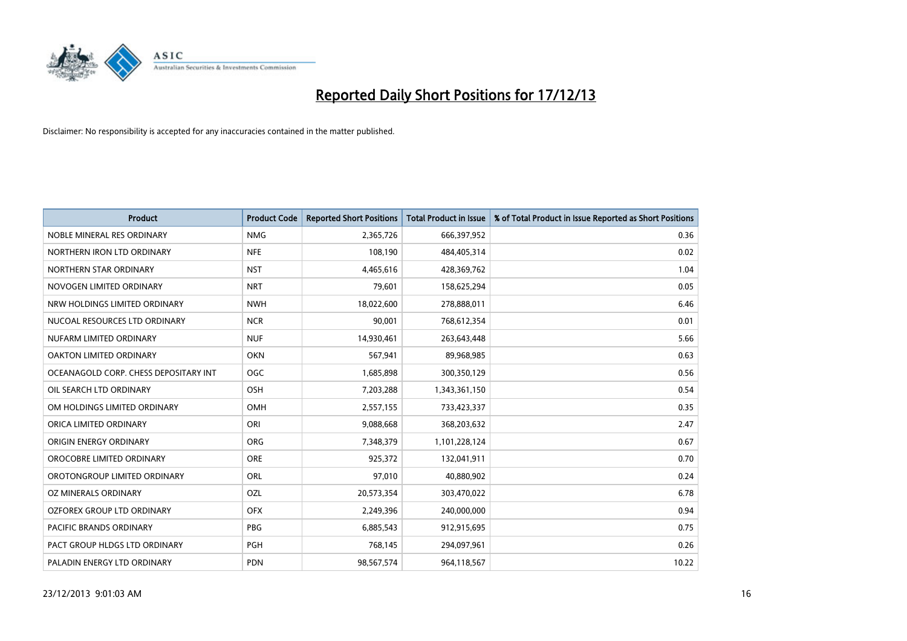

| <b>Product</b>                        | <b>Product Code</b> | <b>Reported Short Positions</b> | <b>Total Product in Issue</b> | % of Total Product in Issue Reported as Short Positions |
|---------------------------------------|---------------------|---------------------------------|-------------------------------|---------------------------------------------------------|
| NOBLE MINERAL RES ORDINARY            | <b>NMG</b>          | 2,365,726                       | 666,397,952                   | 0.36                                                    |
| NORTHERN IRON LTD ORDINARY            | <b>NFE</b>          | 108,190                         | 484,405,314                   | 0.02                                                    |
| NORTHERN STAR ORDINARY                | <b>NST</b>          | 4,465,616                       | 428,369,762                   | 1.04                                                    |
| NOVOGEN LIMITED ORDINARY              | <b>NRT</b>          | 79,601                          | 158,625,294                   | 0.05                                                    |
| NRW HOLDINGS LIMITED ORDINARY         | <b>NWH</b>          | 18,022,600                      | 278,888,011                   | 6.46                                                    |
| NUCOAL RESOURCES LTD ORDINARY         | <b>NCR</b>          | 90,001                          | 768,612,354                   | 0.01                                                    |
| NUFARM LIMITED ORDINARY               | <b>NUF</b>          | 14,930,461                      | 263,643,448                   | 5.66                                                    |
| OAKTON LIMITED ORDINARY               | <b>OKN</b>          | 567,941                         | 89,968,985                    | 0.63                                                    |
| OCEANAGOLD CORP. CHESS DEPOSITARY INT | <b>OGC</b>          | 1,685,898                       | 300,350,129                   | 0.56                                                    |
| OIL SEARCH LTD ORDINARY               | OSH                 | 7,203,288                       | 1,343,361,150                 | 0.54                                                    |
| OM HOLDINGS LIMITED ORDINARY          | <b>OMH</b>          | 2,557,155                       | 733,423,337                   | 0.35                                                    |
| ORICA LIMITED ORDINARY                | ORI                 | 9,088,668                       | 368,203,632                   | 2.47                                                    |
| ORIGIN ENERGY ORDINARY                | <b>ORG</b>          | 7,348,379                       | 1,101,228,124                 | 0.67                                                    |
| OROCOBRE LIMITED ORDINARY             | <b>ORE</b>          | 925,372                         | 132,041,911                   | 0.70                                                    |
| OROTONGROUP LIMITED ORDINARY          | ORL                 | 97,010                          | 40,880,902                    | 0.24                                                    |
| OZ MINERALS ORDINARY                  | OZL                 | 20,573,354                      | 303,470,022                   | 6.78                                                    |
| OZFOREX GROUP LTD ORDINARY            | <b>OFX</b>          | 2,249,396                       | 240,000,000                   | 0.94                                                    |
| <b>PACIFIC BRANDS ORDINARY</b>        | <b>PBG</b>          | 6,885,543                       | 912,915,695                   | 0.75                                                    |
| PACT GROUP HLDGS LTD ORDINARY         | <b>PGH</b>          | 768,145                         | 294,097,961                   | 0.26                                                    |
| PALADIN ENERGY LTD ORDINARY           | <b>PDN</b>          | 98,567,574                      | 964,118,567                   | 10.22                                                   |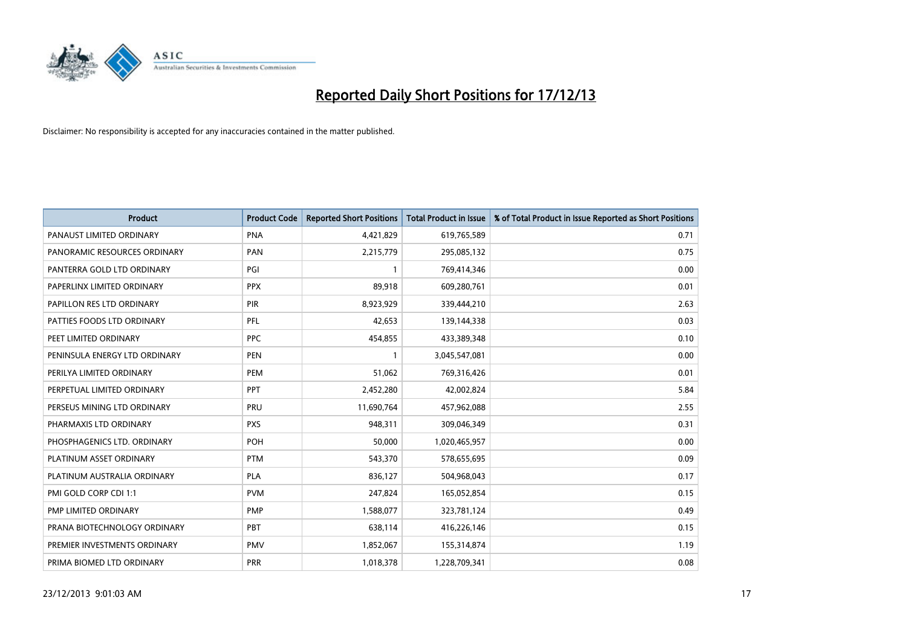

| <b>Product</b>                | <b>Product Code</b> | <b>Reported Short Positions</b> | <b>Total Product in Issue</b> | % of Total Product in Issue Reported as Short Positions |
|-------------------------------|---------------------|---------------------------------|-------------------------------|---------------------------------------------------------|
| PANAUST LIMITED ORDINARY      | <b>PNA</b>          | 4,421,829                       | 619,765,589                   | 0.71                                                    |
| PANORAMIC RESOURCES ORDINARY  | PAN                 | 2,215,779                       | 295,085,132                   | 0.75                                                    |
| PANTERRA GOLD LTD ORDINARY    | PGI                 | $\mathbf{1}$                    | 769,414,346                   | 0.00                                                    |
| PAPERLINX LIMITED ORDINARY    | <b>PPX</b>          | 89,918                          | 609,280,761                   | 0.01                                                    |
| PAPILLON RES LTD ORDINARY     | PIR                 | 8,923,929                       | 339,444,210                   | 2.63                                                    |
| PATTIES FOODS LTD ORDINARY    | PFL                 | 42,653                          | 139,144,338                   | 0.03                                                    |
| PEET LIMITED ORDINARY         | <b>PPC</b>          | 454,855                         | 433,389,348                   | 0.10                                                    |
| PENINSULA ENERGY LTD ORDINARY | <b>PEN</b>          | $\mathbf{1}$                    | 3,045,547,081                 | 0.00                                                    |
| PERILYA LIMITED ORDINARY      | PEM                 | 51,062                          | 769,316,426                   | 0.01                                                    |
| PERPETUAL LIMITED ORDINARY    | PPT                 | 2,452,280                       | 42,002,824                    | 5.84                                                    |
| PERSEUS MINING LTD ORDINARY   | PRU                 | 11,690,764                      | 457,962,088                   | 2.55                                                    |
| PHARMAXIS LTD ORDINARY        | <b>PXS</b>          | 948,311                         | 309,046,349                   | 0.31                                                    |
| PHOSPHAGENICS LTD. ORDINARY   | POH                 | 50,000                          | 1,020,465,957                 | 0.00                                                    |
| PLATINUM ASSET ORDINARY       | <b>PTM</b>          | 543,370                         | 578,655,695                   | 0.09                                                    |
| PLATINUM AUSTRALIA ORDINARY   | <b>PLA</b>          | 836,127                         | 504,968,043                   | 0.17                                                    |
| PMI GOLD CORP CDI 1:1         | <b>PVM</b>          | 247,824                         | 165,052,854                   | 0.15                                                    |
| PMP LIMITED ORDINARY          | <b>PMP</b>          | 1,588,077                       | 323,781,124                   | 0.49                                                    |
| PRANA BIOTECHNOLOGY ORDINARY  | <b>PBT</b>          | 638,114                         | 416,226,146                   | 0.15                                                    |
| PREMIER INVESTMENTS ORDINARY  | <b>PMV</b>          | 1,852,067                       | 155,314,874                   | 1.19                                                    |
| PRIMA BIOMED LTD ORDINARY     | <b>PRR</b>          | 1,018,378                       | 1,228,709,341                 | 0.08                                                    |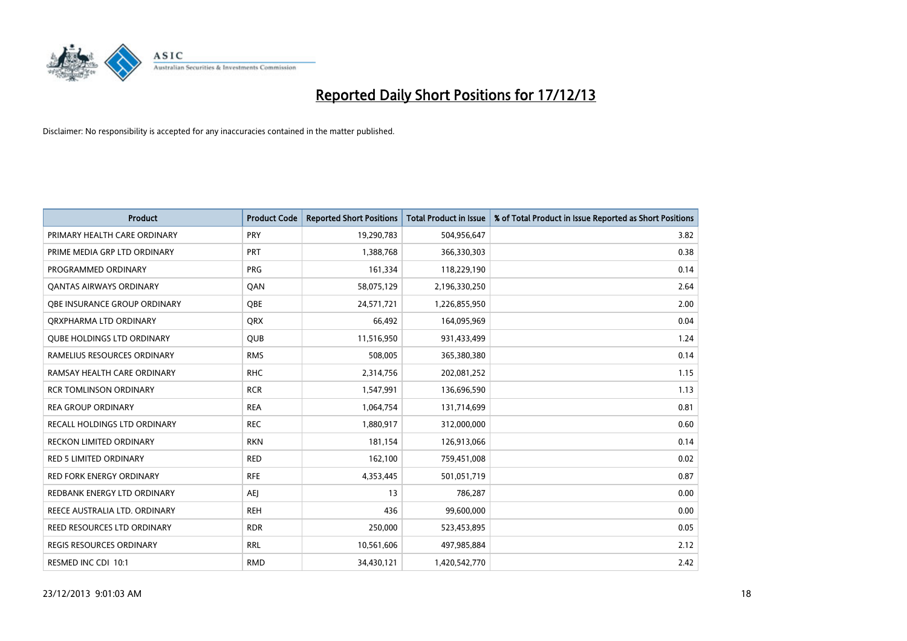

| <b>Product</b>                    | <b>Product Code</b> | <b>Reported Short Positions</b> | <b>Total Product in Issue</b> | % of Total Product in Issue Reported as Short Positions |
|-----------------------------------|---------------------|---------------------------------|-------------------------------|---------------------------------------------------------|
| PRIMARY HEALTH CARE ORDINARY      | <b>PRY</b>          | 19,290,783                      | 504,956,647                   | 3.82                                                    |
| PRIME MEDIA GRP LTD ORDINARY      | PRT                 | 1,388,768                       | 366,330,303                   | 0.38                                                    |
| PROGRAMMED ORDINARY               | <b>PRG</b>          | 161,334                         | 118,229,190                   | 0.14                                                    |
| <b>QANTAS AIRWAYS ORDINARY</b>    | QAN                 | 58,075,129                      | 2,196,330,250                 | 2.64                                                    |
| OBE INSURANCE GROUP ORDINARY      | <b>OBE</b>          | 24,571,721                      | 1,226,855,950                 | 2.00                                                    |
| ORXPHARMA LTD ORDINARY            | <b>QRX</b>          | 66,492                          | 164,095,969                   | 0.04                                                    |
| <b>QUBE HOLDINGS LTD ORDINARY</b> | QUB                 | 11,516,950                      | 931,433,499                   | 1.24                                                    |
| RAMELIUS RESOURCES ORDINARY       | <b>RMS</b>          | 508,005                         | 365,380,380                   | 0.14                                                    |
| RAMSAY HEALTH CARE ORDINARY       | <b>RHC</b>          | 2,314,756                       | 202,081,252                   | 1.15                                                    |
| <b>RCR TOMLINSON ORDINARY</b>     | <b>RCR</b>          | 1,547,991                       | 136,696,590                   | 1.13                                                    |
| <b>REA GROUP ORDINARY</b>         | <b>REA</b>          | 1,064,754                       | 131,714,699                   | 0.81                                                    |
| RECALL HOLDINGS LTD ORDINARY      | <b>REC</b>          | 1,880,917                       | 312,000,000                   | 0.60                                                    |
| RECKON LIMITED ORDINARY           | <b>RKN</b>          | 181,154                         | 126,913,066                   | 0.14                                                    |
| <b>RED 5 LIMITED ORDINARY</b>     | <b>RED</b>          | 162,100                         | 759,451,008                   | 0.02                                                    |
| <b>RED FORK ENERGY ORDINARY</b>   | <b>RFE</b>          | 4,353,445                       | 501,051,719                   | 0.87                                                    |
| REDBANK ENERGY LTD ORDINARY       | <b>AEI</b>          | 13                              | 786,287                       | 0.00                                                    |
| REECE AUSTRALIA LTD. ORDINARY     | <b>REH</b>          | 436                             | 99,600,000                    | 0.00                                                    |
| REED RESOURCES LTD ORDINARY       | <b>RDR</b>          | 250,000                         | 523,453,895                   | 0.05                                                    |
| <b>REGIS RESOURCES ORDINARY</b>   | <b>RRL</b>          | 10,561,606                      | 497,985,884                   | 2.12                                                    |
| RESMED INC CDI 10:1               | <b>RMD</b>          | 34,430,121                      | 1,420,542,770                 | 2.42                                                    |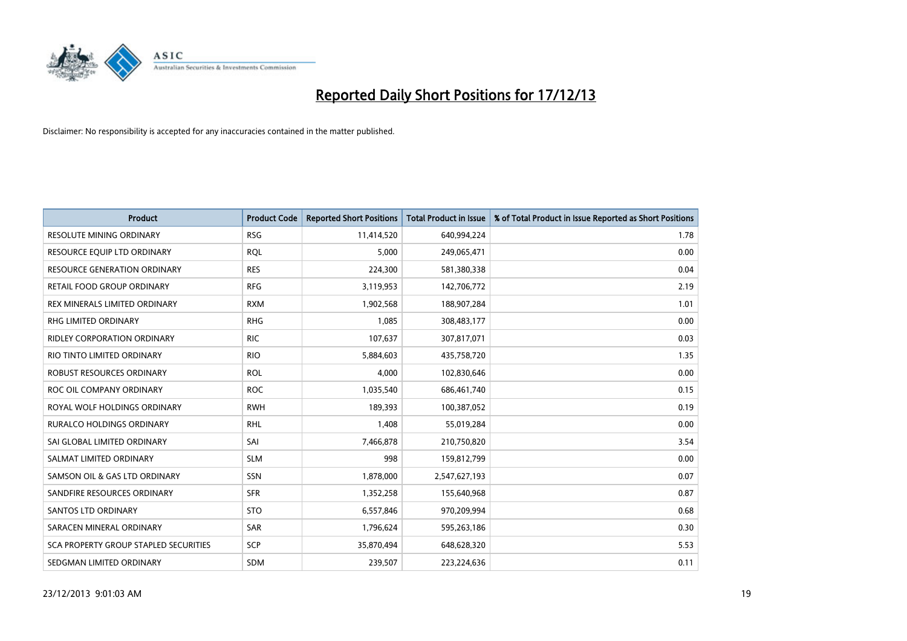

| <b>Product</b>                        | <b>Product Code</b> | <b>Reported Short Positions</b> | <b>Total Product in Issue</b> | % of Total Product in Issue Reported as Short Positions |
|---------------------------------------|---------------------|---------------------------------|-------------------------------|---------------------------------------------------------|
| <b>RESOLUTE MINING ORDINARY</b>       | <b>RSG</b>          | 11,414,520                      | 640,994,224                   | 1.78                                                    |
| RESOURCE EQUIP LTD ORDINARY           | <b>RQL</b>          | 5,000                           | 249,065,471                   | 0.00                                                    |
| <b>RESOURCE GENERATION ORDINARY</b>   | <b>RES</b>          | 224,300                         | 581,380,338                   | 0.04                                                    |
| RETAIL FOOD GROUP ORDINARY            | <b>RFG</b>          | 3,119,953                       | 142,706,772                   | 2.19                                                    |
| REX MINERALS LIMITED ORDINARY         | <b>RXM</b>          | 1,902,568                       | 188,907,284                   | 1.01                                                    |
| <b>RHG LIMITED ORDINARY</b>           | <b>RHG</b>          | 1,085                           | 308,483,177                   | 0.00                                                    |
| RIDLEY CORPORATION ORDINARY           | <b>RIC</b>          | 107,637                         | 307,817,071                   | 0.03                                                    |
| RIO TINTO LIMITED ORDINARY            | <b>RIO</b>          | 5,884,603                       | 435,758,720                   | 1.35                                                    |
| ROBUST RESOURCES ORDINARY             | <b>ROL</b>          | 4,000                           | 102,830,646                   | 0.00                                                    |
| ROC OIL COMPANY ORDINARY              | <b>ROC</b>          | 1,035,540                       | 686,461,740                   | 0.15                                                    |
| ROYAL WOLF HOLDINGS ORDINARY          | <b>RWH</b>          | 189,393                         | 100,387,052                   | 0.19                                                    |
| <b>RURALCO HOLDINGS ORDINARY</b>      | <b>RHL</b>          | 1,408                           | 55,019,284                    | 0.00                                                    |
| SAI GLOBAL LIMITED ORDINARY           | SAI                 | 7,466,878                       | 210,750,820                   | 3.54                                                    |
| SALMAT LIMITED ORDINARY               | <b>SLM</b>          | 998                             | 159,812,799                   | 0.00                                                    |
| SAMSON OIL & GAS LTD ORDINARY         | SSN                 | 1,878,000                       | 2,547,627,193                 | 0.07                                                    |
| SANDFIRE RESOURCES ORDINARY           | <b>SFR</b>          | 1,352,258                       | 155,640,968                   | 0.87                                                    |
| SANTOS LTD ORDINARY                   | <b>STO</b>          | 6,557,846                       | 970,209,994                   | 0.68                                                    |
| SARACEN MINERAL ORDINARY              | <b>SAR</b>          | 1,796,624                       | 595,263,186                   | 0.30                                                    |
| SCA PROPERTY GROUP STAPLED SECURITIES | <b>SCP</b>          | 35,870,494                      | 648,628,320                   | 5.53                                                    |
| SEDGMAN LIMITED ORDINARY              | <b>SDM</b>          | 239,507                         | 223,224,636                   | 0.11                                                    |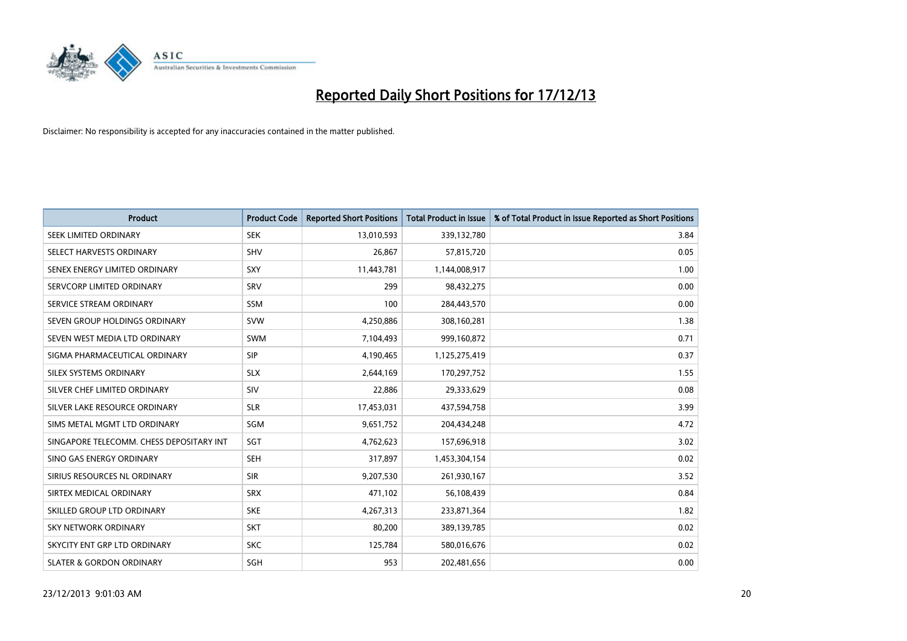

| <b>Product</b>                           | <b>Product Code</b> | <b>Reported Short Positions</b> | <b>Total Product in Issue</b> | % of Total Product in Issue Reported as Short Positions |
|------------------------------------------|---------------------|---------------------------------|-------------------------------|---------------------------------------------------------|
| SEEK LIMITED ORDINARY                    | <b>SEK</b>          | 13,010,593                      | 339,132,780                   | 3.84                                                    |
| SELECT HARVESTS ORDINARY                 | SHV                 | 26,867                          | 57,815,720                    | 0.05                                                    |
| SENEX ENERGY LIMITED ORDINARY            | <b>SXY</b>          | 11,443,781                      | 1,144,008,917                 | 1.00                                                    |
| SERVCORP LIMITED ORDINARY                | SRV                 | 299                             | 98,432,275                    | 0.00                                                    |
| SERVICE STREAM ORDINARY                  | SSM                 | 100                             | 284,443,570                   | 0.00                                                    |
| SEVEN GROUP HOLDINGS ORDINARY            | <b>SVW</b>          | 4,250,886                       | 308,160,281                   | 1.38                                                    |
| SEVEN WEST MEDIA LTD ORDINARY            | <b>SWM</b>          | 7,104,493                       | 999,160,872                   | 0.71                                                    |
| SIGMA PHARMACEUTICAL ORDINARY            | <b>SIP</b>          | 4,190,465                       | 1,125,275,419                 | 0.37                                                    |
| SILEX SYSTEMS ORDINARY                   | <b>SLX</b>          | 2,644,169                       | 170,297,752                   | 1.55                                                    |
| SILVER CHEF LIMITED ORDINARY             | SIV                 | 22,886                          | 29,333,629                    | 0.08                                                    |
| SILVER LAKE RESOURCE ORDINARY            | <b>SLR</b>          | 17,453,031                      | 437,594,758                   | 3.99                                                    |
| SIMS METAL MGMT LTD ORDINARY             | SGM                 | 9,651,752                       | 204,434,248                   | 4.72                                                    |
| SINGAPORE TELECOMM. CHESS DEPOSITARY INT | SGT                 | 4,762,623                       | 157,696,918                   | 3.02                                                    |
| SINO GAS ENERGY ORDINARY                 | SEH                 | 317,897                         | 1,453,304,154                 | 0.02                                                    |
| SIRIUS RESOURCES NL ORDINARY             | <b>SIR</b>          | 9,207,530                       | 261,930,167                   | 3.52                                                    |
| SIRTEX MEDICAL ORDINARY                  | <b>SRX</b>          | 471,102                         | 56,108,439                    | 0.84                                                    |
| SKILLED GROUP LTD ORDINARY               | <b>SKE</b>          | 4,267,313                       | 233,871,364                   | 1.82                                                    |
| <b>SKY NETWORK ORDINARY</b>              | <b>SKT</b>          | 80,200                          | 389,139,785                   | 0.02                                                    |
| SKYCITY ENT GRP LTD ORDINARY             | <b>SKC</b>          | 125,784                         | 580,016,676                   | 0.02                                                    |
| <b>SLATER &amp; GORDON ORDINARY</b>      | SGH                 | 953                             | 202,481,656                   | 0.00                                                    |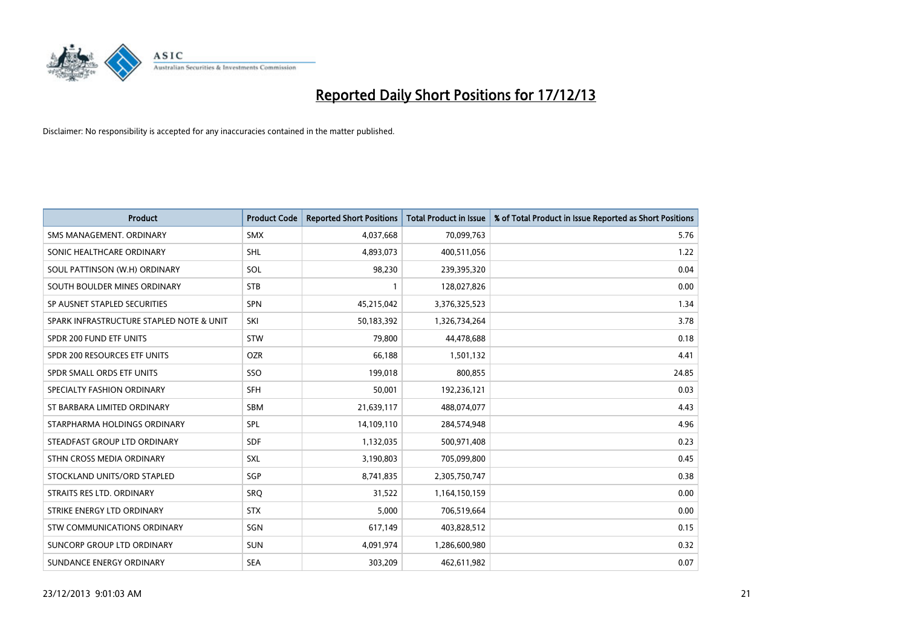

| <b>Product</b>                           | <b>Product Code</b> | <b>Reported Short Positions</b> | <b>Total Product in Issue</b> | % of Total Product in Issue Reported as Short Positions |
|------------------------------------------|---------------------|---------------------------------|-------------------------------|---------------------------------------------------------|
| SMS MANAGEMENT, ORDINARY                 | <b>SMX</b>          | 4,037,668                       | 70,099,763                    | 5.76                                                    |
| SONIC HEALTHCARE ORDINARY                | <b>SHL</b>          | 4,893,073                       | 400,511,056                   | 1.22                                                    |
| SOUL PATTINSON (W.H) ORDINARY            | SOL                 | 98,230                          | 239,395,320                   | 0.04                                                    |
| SOUTH BOULDER MINES ORDINARY             | <b>STB</b>          | 1                               | 128,027,826                   | 0.00                                                    |
| SP AUSNET STAPLED SECURITIES             | SPN                 | 45,215,042                      | 3,376,325,523                 | 1.34                                                    |
| SPARK INFRASTRUCTURE STAPLED NOTE & UNIT | SKI                 | 50,183,392                      | 1,326,734,264                 | 3.78                                                    |
| SPDR 200 FUND ETF UNITS                  | <b>STW</b>          | 79.800                          | 44,478,688                    | 0.18                                                    |
| SPDR 200 RESOURCES ETF UNITS             | <b>OZR</b>          | 66,188                          | 1,501,132                     | 4.41                                                    |
| SPDR SMALL ORDS ETF UNITS                | SSO                 | 199,018                         | 800,855                       | 24.85                                                   |
| SPECIALTY FASHION ORDINARY               | <b>SFH</b>          | 50,001                          | 192,236,121                   | 0.03                                                    |
| ST BARBARA LIMITED ORDINARY              | SBM                 | 21,639,117                      | 488,074,077                   | 4.43                                                    |
| STARPHARMA HOLDINGS ORDINARY             | <b>SPL</b>          | 14,109,110                      | 284,574,948                   | 4.96                                                    |
| STEADFAST GROUP LTD ORDINARY             | <b>SDF</b>          | 1,132,035                       | 500,971,408                   | 0.23                                                    |
| STHN CROSS MEDIA ORDINARY                | <b>SXL</b>          | 3,190,803                       | 705,099,800                   | 0.45                                                    |
| STOCKLAND UNITS/ORD STAPLED              | SGP                 | 8,741,835                       | 2,305,750,747                 | 0.38                                                    |
| STRAITS RES LTD. ORDINARY                | SRO                 | 31,522                          | 1,164,150,159                 | 0.00                                                    |
| STRIKE ENERGY LTD ORDINARY               | <b>STX</b>          | 5,000                           | 706,519,664                   | 0.00                                                    |
| <b>STW COMMUNICATIONS ORDINARY</b>       | SGN                 | 617,149                         | 403,828,512                   | 0.15                                                    |
| SUNCORP GROUP LTD ORDINARY               | <b>SUN</b>          | 4,091,974                       | 1,286,600,980                 | 0.32                                                    |
| SUNDANCE ENERGY ORDINARY                 | <b>SEA</b>          | 303,209                         | 462,611,982                   | 0.07                                                    |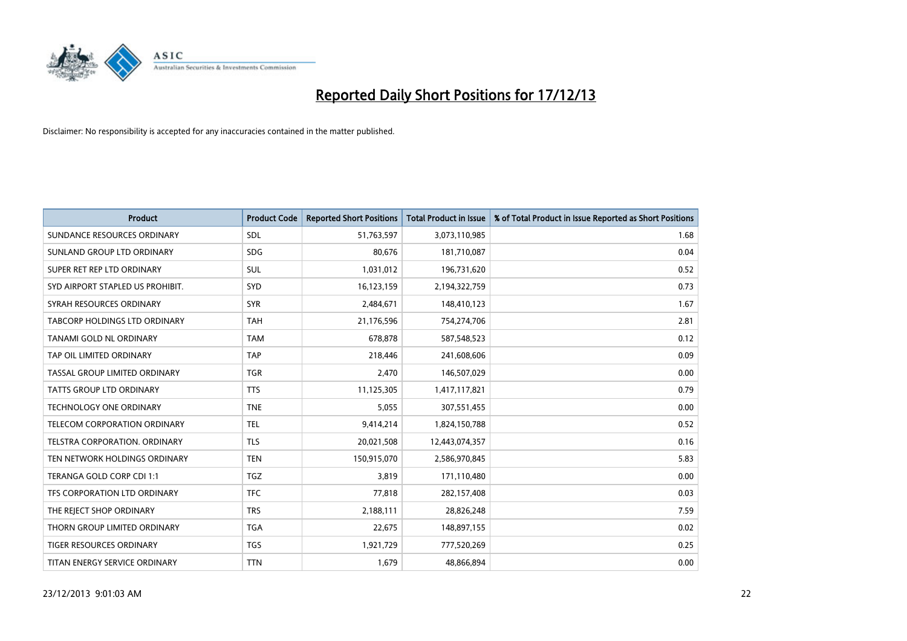

| <b>Product</b>                      | <b>Product Code</b> | <b>Reported Short Positions</b> | <b>Total Product in Issue</b> | % of Total Product in Issue Reported as Short Positions |
|-------------------------------------|---------------------|---------------------------------|-------------------------------|---------------------------------------------------------|
| SUNDANCE RESOURCES ORDINARY         | <b>SDL</b>          | 51,763,597                      | 3,073,110,985                 | 1.68                                                    |
| SUNLAND GROUP LTD ORDINARY          | <b>SDG</b>          | 80,676                          | 181,710,087                   | 0.04                                                    |
| SUPER RET REP LTD ORDINARY          | <b>SUL</b>          | 1,031,012                       | 196,731,620                   | 0.52                                                    |
| SYD AIRPORT STAPLED US PROHIBIT.    | SYD                 | 16,123,159                      | 2,194,322,759                 | 0.73                                                    |
| SYRAH RESOURCES ORDINARY            | <b>SYR</b>          | 2,484,671                       | 148,410,123                   | 1.67                                                    |
| TABCORP HOLDINGS LTD ORDINARY       | <b>TAH</b>          | 21,176,596                      | 754,274,706                   | 2.81                                                    |
| TANAMI GOLD NL ORDINARY             | <b>TAM</b>          | 678.878                         | 587,548,523                   | 0.12                                                    |
| TAP OIL LIMITED ORDINARY            | <b>TAP</b>          | 218,446                         | 241,608,606                   | 0.09                                                    |
| TASSAL GROUP LIMITED ORDINARY       | <b>TGR</b>          | 2,470                           | 146,507,029                   | 0.00                                                    |
| <b>TATTS GROUP LTD ORDINARY</b>     | <b>TTS</b>          | 11,125,305                      | 1,417,117,821                 | 0.79                                                    |
| <b>TECHNOLOGY ONE ORDINARY</b>      | <b>TNE</b>          | 5,055                           | 307,551,455                   | 0.00                                                    |
| <b>TELECOM CORPORATION ORDINARY</b> | TEL                 | 9,414,214                       | 1,824,150,788                 | 0.52                                                    |
| TELSTRA CORPORATION, ORDINARY       | <b>TLS</b>          | 20,021,508                      | 12,443,074,357                | 0.16                                                    |
| TEN NETWORK HOLDINGS ORDINARY       | <b>TEN</b>          | 150,915,070                     | 2,586,970,845                 | 5.83                                                    |
| TERANGA GOLD CORP CDI 1:1           | <b>TGZ</b>          | 3,819                           | 171,110,480                   | 0.00                                                    |
| TFS CORPORATION LTD ORDINARY        | <b>TFC</b>          | 77,818                          | 282,157,408                   | 0.03                                                    |
| THE REJECT SHOP ORDINARY            | <b>TRS</b>          | 2,188,111                       | 28,826,248                    | 7.59                                                    |
| THORN GROUP LIMITED ORDINARY        | <b>TGA</b>          | 22,675                          | 148,897,155                   | 0.02                                                    |
| <b>TIGER RESOURCES ORDINARY</b>     | <b>TGS</b>          | 1,921,729                       | 777,520,269                   | 0.25                                                    |
| TITAN ENERGY SERVICE ORDINARY       | <b>TTN</b>          | 1,679                           | 48,866,894                    | 0.00                                                    |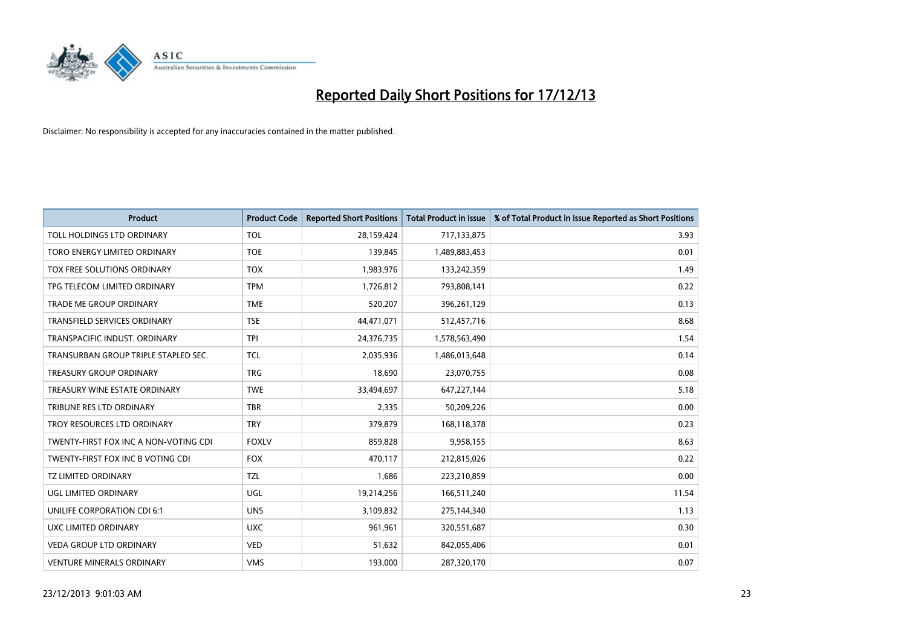

| <b>Product</b>                        | <b>Product Code</b> | <b>Reported Short Positions</b> | <b>Total Product in Issue</b> | % of Total Product in Issue Reported as Short Positions |
|---------------------------------------|---------------------|---------------------------------|-------------------------------|---------------------------------------------------------|
| TOLL HOLDINGS LTD ORDINARY            | <b>TOL</b>          | 28,159,424                      | 717,133,875                   | 3.93                                                    |
| TORO ENERGY LIMITED ORDINARY          | <b>TOE</b>          | 139,845                         | 1,489,883,453                 | 0.01                                                    |
| TOX FREE SOLUTIONS ORDINARY           | <b>TOX</b>          | 1,983,976                       | 133,242,359                   | 1.49                                                    |
| TPG TELECOM LIMITED ORDINARY          | <b>TPM</b>          | 1,726,812                       | 793,808,141                   | 0.22                                                    |
| <b>TRADE ME GROUP ORDINARY</b>        | <b>TME</b>          | 520,207                         | 396,261,129                   | 0.13                                                    |
| TRANSFIELD SERVICES ORDINARY          | <b>TSE</b>          | 44,471,071                      | 512,457,716                   | 8.68                                                    |
| TRANSPACIFIC INDUST. ORDINARY         | <b>TPI</b>          | 24,376,735                      | 1,578,563,490                 | 1.54                                                    |
| TRANSURBAN GROUP TRIPLE STAPLED SEC.  | <b>TCL</b>          | 2,035,936                       | 1,486,013,648                 | 0.14                                                    |
| <b>TREASURY GROUP ORDINARY</b>        | <b>TRG</b>          | 18,690                          | 23,070,755                    | 0.08                                                    |
| TREASURY WINE ESTATE ORDINARY         | <b>TWE</b>          | 33,494,697                      | 647,227,144                   | 5.18                                                    |
| TRIBUNE RES LTD ORDINARY              | <b>TBR</b>          | 2,335                           | 50,209,226                    | 0.00                                                    |
| TROY RESOURCES LTD ORDINARY           | <b>TRY</b>          | 379,879                         | 168,118,378                   | 0.23                                                    |
| TWENTY-FIRST FOX INC A NON-VOTING CDI | <b>FOXLV</b>        | 859,828                         | 9,958,155                     | 8.63                                                    |
| TWENTY-FIRST FOX INC B VOTING CDI     | <b>FOX</b>          | 470,117                         | 212,815,026                   | 0.22                                                    |
| <b>TZ LIMITED ORDINARY</b>            | <b>TZL</b>          | 1,686                           | 223,210,859                   | 0.00                                                    |
| UGL LIMITED ORDINARY                  | UGL                 | 19,214,256                      | 166,511,240                   | 11.54                                                   |
| UNILIFE CORPORATION CDI 6:1           | <b>UNS</b>          | 3,109,832                       | 275,144,340                   | 1.13                                                    |
| UXC LIMITED ORDINARY                  | <b>UXC</b>          | 961,961                         | 320,551,687                   | 0.30                                                    |
| <b>VEDA GROUP LTD ORDINARY</b>        | <b>VED</b>          | 51,632                          | 842,055,406                   | 0.01                                                    |
| <b>VENTURE MINERALS ORDINARY</b>      | <b>VMS</b>          | 193,000                         | 287,320,170                   | 0.07                                                    |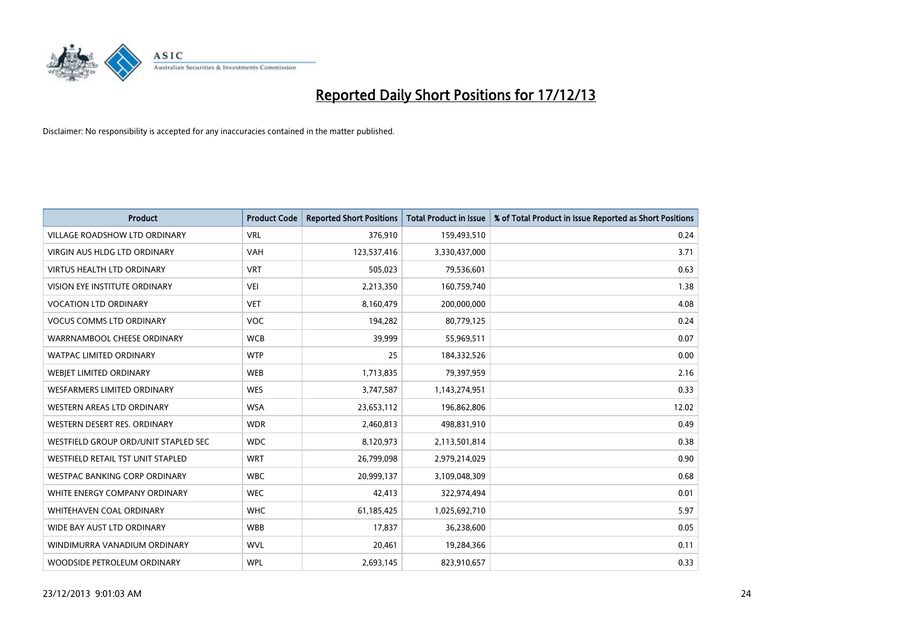

| <b>Product</b>                       | <b>Product Code</b> | <b>Reported Short Positions</b> | <b>Total Product in Issue</b> | % of Total Product in Issue Reported as Short Positions |
|--------------------------------------|---------------------|---------------------------------|-------------------------------|---------------------------------------------------------|
| <b>VILLAGE ROADSHOW LTD ORDINARY</b> | <b>VRL</b>          | 376,910                         | 159,493,510                   | 0.24                                                    |
| <b>VIRGIN AUS HLDG LTD ORDINARY</b>  | <b>VAH</b>          | 123,537,416                     | 3,330,437,000                 | 3.71                                                    |
| <b>VIRTUS HEALTH LTD ORDINARY</b>    | <b>VRT</b>          | 505,023                         | 79,536,601                    | 0.63                                                    |
| <b>VISION EYE INSTITUTE ORDINARY</b> | <b>VEI</b>          | 2,213,350                       | 160,759,740                   | 1.38                                                    |
| <b>VOCATION LTD ORDINARY</b>         | <b>VET</b>          | 8,160,479                       | 200,000,000                   | 4.08                                                    |
| <b>VOCUS COMMS LTD ORDINARY</b>      | <b>VOC</b>          | 194,282                         | 80,779,125                    | 0.24                                                    |
| WARRNAMBOOL CHEESE ORDINARY          | <b>WCB</b>          | 39,999                          | 55,969,511                    | 0.07                                                    |
| <b>WATPAC LIMITED ORDINARY</b>       | <b>WTP</b>          | 25                              | 184,332,526                   | 0.00                                                    |
| WEBJET LIMITED ORDINARY              | <b>WEB</b>          | 1,713,835                       | 79,397,959                    | 2.16                                                    |
| WESFARMERS LIMITED ORDINARY          | <b>WES</b>          | 3,747,587                       | 1,143,274,951                 | 0.33                                                    |
| WESTERN AREAS LTD ORDINARY           | <b>WSA</b>          | 23,653,112                      | 196,862,806                   | 12.02                                                   |
| WESTERN DESERT RES. ORDINARY         | <b>WDR</b>          | 2,460,813                       | 498,831,910                   | 0.49                                                    |
| WESTFIELD GROUP ORD/UNIT STAPLED SEC | <b>WDC</b>          | 8,120,973                       | 2,113,501,814                 | 0.38                                                    |
| WESTFIELD RETAIL TST UNIT STAPLED    | <b>WRT</b>          | 26,799,098                      | 2,979,214,029                 | 0.90                                                    |
| WESTPAC BANKING CORP ORDINARY        | <b>WBC</b>          | 20,999,137                      | 3,109,048,309                 | 0.68                                                    |
| WHITE ENERGY COMPANY ORDINARY        | <b>WEC</b>          | 42,413                          | 322,974,494                   | 0.01                                                    |
| <b>WHITEHAVEN COAL ORDINARY</b>      | <b>WHC</b>          | 61,185,425                      | 1,025,692,710                 | 5.97                                                    |
| WIDE BAY AUST LTD ORDINARY           | <b>WBB</b>          | 17.837                          | 36,238,600                    | 0.05                                                    |
| WINDIMURRA VANADIUM ORDINARY         | <b>WVL</b>          | 20,461                          | 19,284,366                    | 0.11                                                    |
| WOODSIDE PETROLEUM ORDINARY          | <b>WPL</b>          | 2,693,145                       | 823,910,657                   | 0.33                                                    |